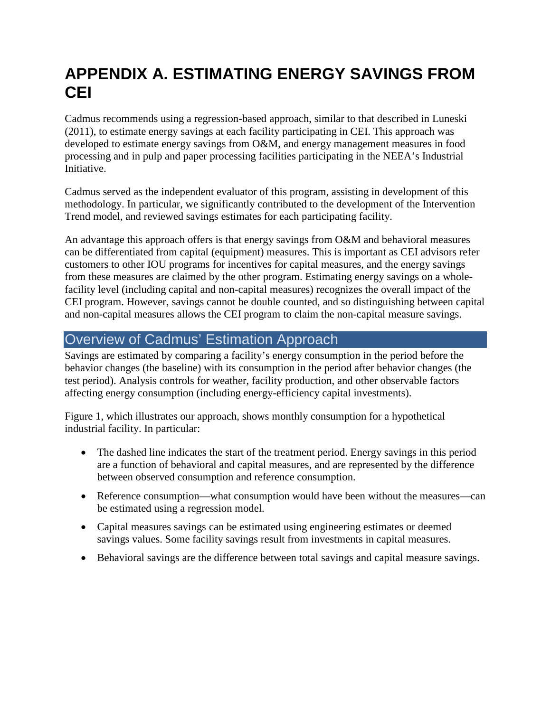# **APPENDIX A. ESTIMATING ENERGY SAVINGS FROM CEI**

Cadmus recommends using a regression-based approach, similar to that described in Luneski (2011), to estimate energy savings at each facility participating in CEI. This approach was developed to estimate energy savings from O&M, and energy management measures in food processing and in pulp and paper processing facilities participating in the NEEA's Industrial Initiative.

Cadmus served as the independent evaluator of this program, assisting in development of this methodology. In particular, we significantly contributed to the development of the Intervention Trend model, and reviewed savings estimates for each participating facility.

An advantage this approach offers is that energy savings from O&M and behavioral measures can be differentiated from capital (equipment) measures. This is important as CEI advisors refer customers to other IOU programs for incentives for capital measures, and the energy savings from these measures are claimed by the other program. Estimating energy savings on a wholefacility level (including capital and non-capital measures) recognizes the overall impact of the CEI program. However, savings cannot be double counted, and so distinguishing between capital and non-capital measures allows the CEI program to claim the non-capital measure savings.

# Overview of Cadmus' Estimation Approach

Savings are estimated by comparing a facility's energy consumption in the period before the behavior changes (the baseline) with its consumption in the period after behavior changes (the test period). Analysis controls for weather, facility production, and other observable factors affecting energy consumption (including energy-efficiency capital investments).

[Figure 1,](#page-1-0) which illustrates our approach, shows monthly consumption for a hypothetical industrial facility. In particular:

- The dashed line indicates the start of the treatment period. Energy savings in this period are a function of behavioral and capital measures, and are represented by the difference between observed consumption and reference consumption.
- Reference consumption—what consumption would have been without the measures—can be estimated using a regression model.
- Capital measures savings can be estimated using engineering estimates or deemed savings values. Some facility savings result from investments in capital measures.
- Behavioral savings are the difference between total savings and capital measure savings.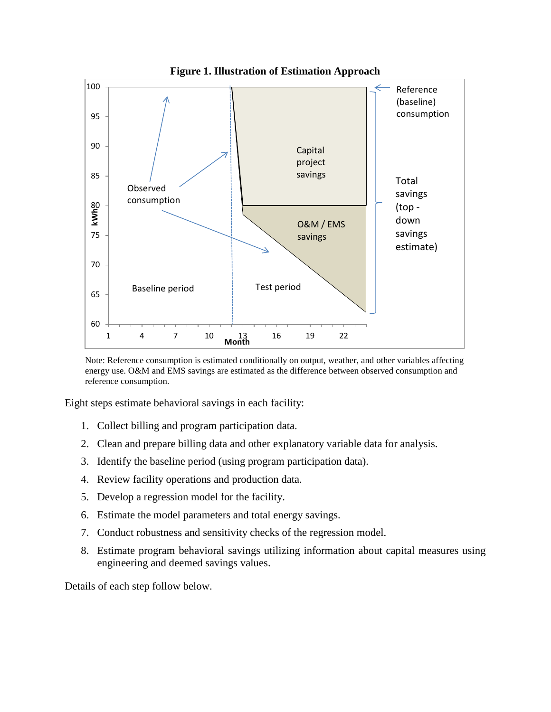<span id="page-1-0"></span>

Note: Reference consumption is estimated conditionally on output, weather, and other variables affecting energy use. O&M and EMS savings are estimated as the difference between observed consumption and reference consumption.

Eight steps estimate behavioral savings in each facility:

- 1. Collect billing and program participation data.
- 2. Clean and prepare billing data and other explanatory variable data for analysis.
- 3. Identify the baseline period (using program participation data).
- 4. Review facility operations and production data.
- 5. Develop a regression model for the facility.
- 6. Estimate the model parameters and total energy savings.
- 7. Conduct robustness and sensitivity checks of the regression model.
- 8. Estimate program behavioral savings utilizing information about capital measures using engineering and deemed savings values.

Details of each step follow below.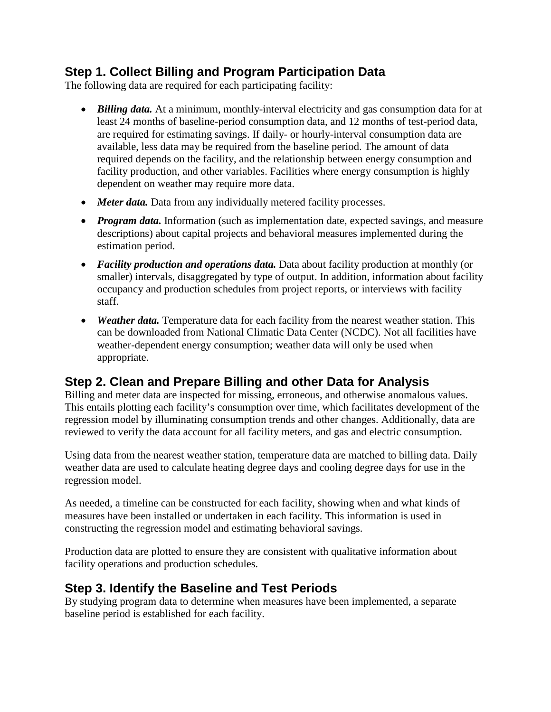## **Step 1. Collect Billing and Program Participation Data**

The following data are required for each participating facility:

- *Billing data.* At a minimum, monthly-interval electricity and gas consumption data for at least 24 months of baseline-period consumption data, and 12 months of test-period data, are required for estimating savings. If daily- or hourly-interval consumption data are available, less data may be required from the baseline period. The amount of data required depends on the facility, and the relationship between energy consumption and facility production, and other variables. Facilities where energy consumption is highly dependent on weather may require more data.
- *Meter data.* Data from any individually metered facility processes.
- *Program data.* Information (such as implementation date, expected savings, and measure descriptions) about capital projects and behavioral measures implemented during the estimation period.
- *Facility production and operations data.* Data about facility production at monthly (or smaller) intervals, disaggregated by type of output. In addition, information about facility occupancy and production schedules from project reports, or interviews with facility staff.
- *Weather data.* Temperature data for each facility from the nearest weather station. This can be downloaded from National Climatic Data Center (NCDC). Not all facilities have weather-dependent energy consumption; weather data will only be used when appropriate.

# **Step 2. Clean and Prepare Billing and other Data for Analysis**

Billing and meter data are inspected for missing, erroneous, and otherwise anomalous values. This entails plotting each facility's consumption over time, which facilitates development of the regression model by illuminating consumption trends and other changes. Additionally, data are reviewed to verify the data account for all facility meters, and gas and electric consumption.

Using data from the nearest weather station, temperature data are matched to billing data. Daily weather data are used to calculate heating degree days and cooling degree days for use in the regression model.

As needed, a timeline can be constructed for each facility, showing when and what kinds of measures have been installed or undertaken in each facility. This information is used in constructing the regression model and estimating behavioral savings.

Production data are plotted to ensure they are consistent with qualitative information about facility operations and production schedules.

# **Step 3. Identify the Baseline and Test Periods**

By studying program data to determine when measures have been implemented, a separate baseline period is established for each facility.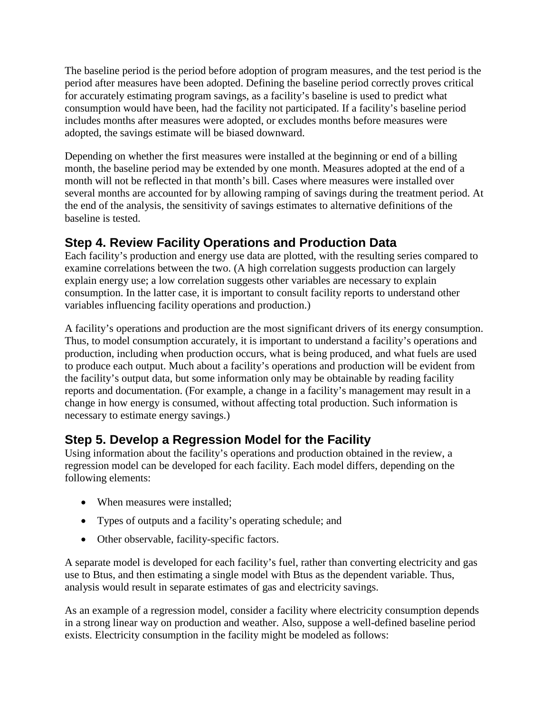The baseline period is the period before adoption of program measures, and the test period is the period after measures have been adopted. Defining the baseline period correctly proves critical for accurately estimating program savings, as a facility's baseline is used to predict what consumption would have been, had the facility not participated. If a facility's baseline period includes months after measures were adopted, or excludes months before measures were adopted, the savings estimate will be biased downward.

Depending on whether the first measures were installed at the beginning or end of a billing month, the baseline period may be extended by one month. Measures adopted at the end of a month will not be reflected in that month's bill. Cases where measures were installed over several months are accounted for by allowing ramping of savings during the treatment period. At the end of the analysis, the sensitivity of savings estimates to alternative definitions of the baseline is tested.

# **Step 4. Review Facility Operations and Production Data**

Each facility's production and energy use data are plotted, with the resulting series compared to examine correlations between the two. (A high correlation suggests production can largely explain energy use; a low correlation suggests other variables are necessary to explain consumption. In the latter case, it is important to consult facility reports to understand other variables influencing facility operations and production.)

A facility's operations and production are the most significant drivers of its energy consumption. Thus, to model consumption accurately, it is important to understand a facility's operations and production, including when production occurs, what is being produced, and what fuels are used to produce each output. Much about a facility's operations and production will be evident from the facility's output data, but some information only may be obtainable by reading facility reports and documentation. (For example, a change in a facility's management may result in a change in how energy is consumed, without affecting total production. Such information is necessary to estimate energy savings.)

# **Step 5. Develop a Regression Model for the Facility**

Using information about the facility's operations and production obtained in the review, a regression model can be developed for each facility. Each model differs, depending on the following elements:

- When measures were installed;
- Types of outputs and a facility's operating schedule; and
- Other observable, facility-specific factors.

A separate model is developed for each facility's fuel, rather than converting electricity and gas use to Btus, and then estimating a single model with Btus as the dependent variable. Thus, analysis would result in separate estimates of gas and electricity savings.

As an example of a regression model, consider a facility where electricity consumption depends in a strong linear way on production and weather. Also, suppose a well-defined baseline period exists. Electricity consumption in the facility might be modeled as follows: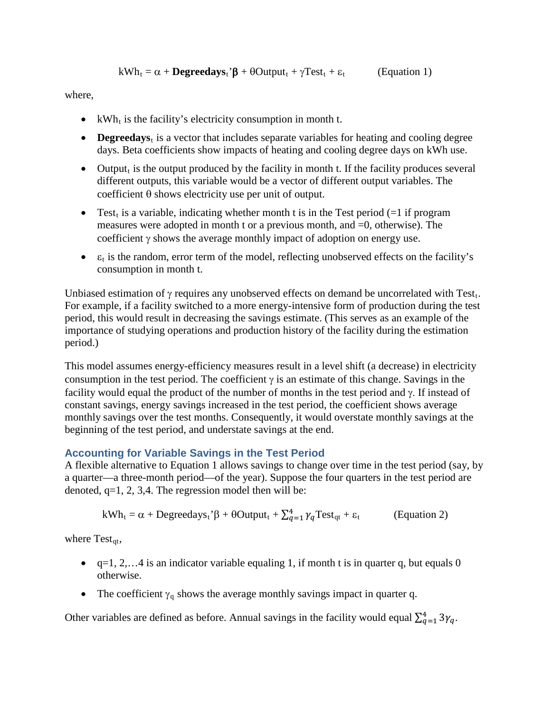$$
kWh_t = \alpha + \text{Degreedays}_t^{\bullet} + \theta\text{Output}_t + \gamma \text{Test}_t + \epsilon_t \qquad \text{(Equation 1)}
$$

where,

- kWh<sub>t</sub> is the facility's electricity consumption in month t.
- **Degreedays**<sub>t</sub> is a vector that includes separate variables for heating and cooling degree days. Beta coefficients show impacts of heating and cooling degree days on kWh use.
- Output, is the output produced by the facility in month t. If the facility produces several different outputs, this variable would be a vector of different output variables. The coefficient θ shows electricity use per unit of output.
- Test<sub>t</sub> is a variable, indicating whether month t is in the Test period (=1 if program measures were adopted in month t or a previous month, and =0, otherwise). The coefficient γ shows the average monthly impact of adoption on energy use.
- $\bullet$   $\varepsilon_t$  is the random, error term of the model, reflecting unobserved effects on the facility's consumption in month t.

Unbiased estimation of  $\gamma$  requires any unobserved effects on demand be uncorrelated with Test. For example, if a facility switched to a more energy-intensive form of production during the test period, this would result in decreasing the savings estimate. (This serves as an example of the importance of studying operations and production history of the facility during the estimation period.)

This model assumes energy-efficiency measures result in a level shift (a decrease) in electricity consumption in the test period. The coefficient  $\gamma$  is an estimate of this change. Savings in the facility would equal the product of the number of months in the test period and γ. If instead of constant savings, energy savings increased in the test period, the coefficient shows average monthly savings over the test months. Consequently, it would overstate monthly savings at the beginning of the test period, and understate savings at the end.

#### **Accounting for Variable Savings in the Test Period**

A flexible alternative to Equation 1 allows savings to change over time in the test period (say, by a quarter—a three-month period—of the year). Suppose the four quarters in the test period are denoted,  $q=1, 2, 3, 4$ . The regression model then will be:

$$
kWh_t = \alpha + Degreedays_t^{\prime} \beta + \theta Output_t + \sum_{q=1}^{4} \gamma_q Test_{qt} + \varepsilon_t
$$
 (Equation 2)

where  $Test_{at}$ ,

- $q=1, 2, \ldots 4$  is an indicator variable equaling 1, if month t is in quarter q, but equals 0 otherwise.
- The coefficient  $\gamma_q$  shows the average monthly savings impact in quarter q.

Other variables are defined as before. Annual savings in the facility would equal  $\sum_{q=1}^{4} 3\gamma_q$ .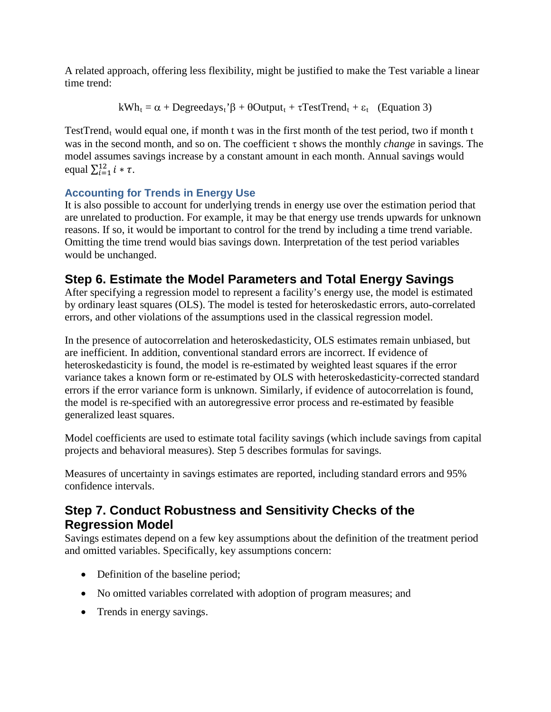A related approach, offering less flexibility, might be justified to make the Test variable a linear time trend:

$$
kWh_t = \alpha + Degreedays_t^{\dagger}\beta + \theta Output_t + \tau TestTrend_t + \epsilon_t
$$
 (Equation 3)

TestTrend<sub>t</sub> would equal one, if month t was in the first month of the test period, two if month t was in the second month, and so on. The coefficient τ shows the monthly *change* in savings. The model assumes savings increase by a constant amount in each month. Annual savings would equal  $\sum_{i=1}^{12} i * \tau$ .

#### **Accounting for Trends in Energy Use**

It is also possible to account for underlying trends in energy use over the estimation period that are unrelated to production. For example, it may be that energy use trends upwards for unknown reasons. If so, it would be important to control for the trend by including a time trend variable. Omitting the time trend would bias savings down. Interpretation of the test period variables would be unchanged.

# **Step 6. Estimate the Model Parameters and Total Energy Savings**

After specifying a regression model to represent a facility's energy use, the model is estimated by ordinary least squares (OLS). The model is tested for heteroskedastic errors, auto-correlated errors, and other violations of the assumptions used in the classical regression model.

In the presence of autocorrelation and heteroskedasticity, OLS estimates remain unbiased, but are inefficient. In addition, conventional standard errors are incorrect. If evidence of heteroskedasticity is found, the model is re-estimated by weighted least squares if the error variance takes a known form or re-estimated by OLS with heteroskedasticity-corrected standard errors if the error variance form is unknown. Similarly, if evidence of autocorrelation is found, the model is re-specified with an autoregressive error process and re-estimated by feasible generalized least squares.

Model coefficients are used to estimate total facility savings (which include savings from capital projects and behavioral measures). Step 5 describes formulas for savings.

Measures of uncertainty in savings estimates are reported, including standard errors and 95% confidence intervals.

## **Step 7. Conduct Robustness and Sensitivity Checks of the Regression Model**

Savings estimates depend on a few key assumptions about the definition of the treatment period and omitted variables. Specifically, key assumptions concern:

- Definition of the baseline period;
- No omitted variables correlated with adoption of program measures; and
- Trends in energy savings.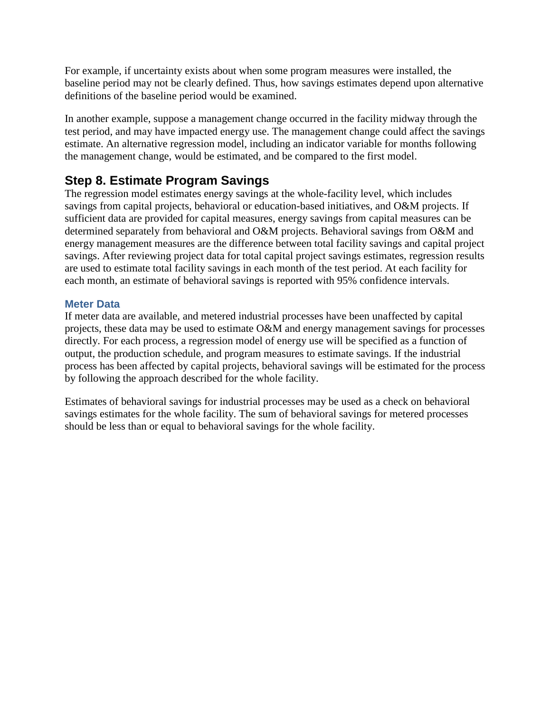For example, if uncertainty exists about when some program measures were installed, the baseline period may not be clearly defined. Thus, how savings estimates depend upon alternative definitions of the baseline period would be examined.

In another example, suppose a management change occurred in the facility midway through the test period, and may have impacted energy use. The management change could affect the savings estimate. An alternative regression model, including an indicator variable for months following the management change, would be estimated, and be compared to the first model.

## **Step 8. Estimate Program Savings**

The regression model estimates energy savings at the whole-facility level, which includes savings from capital projects, behavioral or education-based initiatives, and O&M projects. If sufficient data are provided for capital measures, energy savings from capital measures can be determined separately from behavioral and O&M projects. Behavioral savings from O&M and energy management measures are the difference between total facility savings and capital project savings. After reviewing project data for total capital project savings estimates, regression results are used to estimate total facility savings in each month of the test period. At each facility for each month, an estimate of behavioral savings is reported with 95% confidence intervals.

#### **Meter Data**

If meter data are available, and metered industrial processes have been unaffected by capital projects, these data may be used to estimate O&M and energy management savings for processes directly. For each process, a regression model of energy use will be specified as a function of output, the production schedule, and program measures to estimate savings. If the industrial process has been affected by capital projects, behavioral savings will be estimated for the process by following the approach described for the whole facility.

Estimates of behavioral savings for industrial processes may be used as a check on behavioral savings estimates for the whole facility. The sum of behavioral savings for metered processes should be less than or equal to behavioral savings for the whole facility.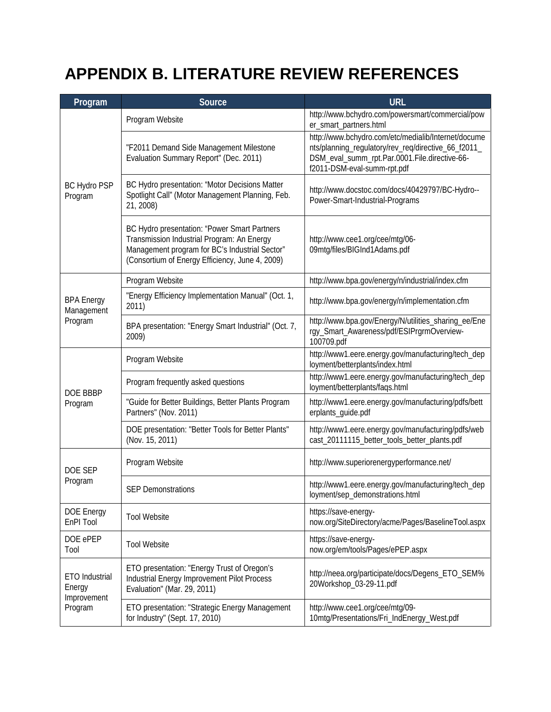# **APPENDIX B. LITERATURE REVIEW REFERENCES**

| Program                                                   | Source                                                                                                                                                                                          | <b>URL</b>                                                                                                                                                                                 |
|-----------------------------------------------------------|-------------------------------------------------------------------------------------------------------------------------------------------------------------------------------------------------|--------------------------------------------------------------------------------------------------------------------------------------------------------------------------------------------|
| <b>BC Hydro PSP</b><br>Program                            | Program Website                                                                                                                                                                                 | http://www.bchydro.com/powersmart/commercial/pow<br>er_smart_partners.html                                                                                                                 |
|                                                           | "F2011 Demand Side Management Milestone<br>Evaluation Summary Report" (Dec. 2011)                                                                                                               | http://www.bchydro.com/etc/medialib/Internet/docume<br>nts/planning_regulatory/rev_req/directive_66_f2011_<br>DSM_eval_summ_rpt.Par.0001.File.directive-66-<br>f2011-DSM-eval-summ-rpt.pdf |
|                                                           | BC Hydro presentation: "Motor Decisions Matter<br>Spotlight Call" (Motor Management Planning, Feb.<br>21, 2008)                                                                                 | http://www.docstoc.com/docs/40429797/BC-Hydro--<br>Power-Smart-Industrial-Programs                                                                                                         |
|                                                           | BC Hydro presentation: "Power Smart Partners<br>Transmission Industrial Program: An Energy<br>Management program for BC's Industrial Sector"<br>(Consortium of Energy Efficiency, June 4, 2009) | http://www.cee1.org/cee/mtg/06-<br>09mtg/files/BIGInd1Adams.pdf                                                                                                                            |
|                                                           | Program Website                                                                                                                                                                                 | http://www.bpa.gov/energy/n/industrial/index.cfm                                                                                                                                           |
| <b>BPA Energy</b><br>Management<br>Program                | "Energy Efficiency Implementation Manual" (Oct. 1,<br>2011)                                                                                                                                     | http://www.bpa.gov/energy/n/implementation.cfm                                                                                                                                             |
|                                                           | BPA presentation: "Energy Smart Industrial" (Oct. 7,<br>2009)                                                                                                                                   | http://www.bpa.gov/Energy/N/utilities_sharing_ee/Ene<br>rgy_Smart_Awareness/pdf/ESIPrgrmOverview-<br>100709.pdf                                                                            |
| DOE BBBP<br>Program                                       | Program Website                                                                                                                                                                                 | http://www1.eere.energy.gov/manufacturing/tech_dep<br>loyment/betterplants/index.html                                                                                                      |
|                                                           | Program frequently asked questions                                                                                                                                                              | http://www1.eere.energy.gov/manufacturing/tech_dep<br>loyment/betterplants/faqs.html                                                                                                       |
|                                                           | "Guide for Better Buildings, Better Plants Program<br>Partners" (Nov. 2011)                                                                                                                     | http://www1.eere.energy.gov/manufacturing/pdfs/bett<br>erplants_guide.pdf                                                                                                                  |
|                                                           | DOE presentation: "Better Tools for Better Plants"<br>(Nov. 15, 2011)                                                                                                                           | http://www1.eere.energy.gov/manufacturing/pdfs/web<br>cast_20111115_better_tools_better_plants.pdf                                                                                         |
| DOE SEP<br>Program                                        | Program Website                                                                                                                                                                                 | http://www.superiorenergyperformance.net/                                                                                                                                                  |
|                                                           | <b>SEP Demonstrations</b>                                                                                                                                                                       | http://www1.eere.energy.gov/manufacturing/tech_dep<br>loyment/sep_demonstrations.html                                                                                                      |
| DOE Energy<br>EnPI Tool                                   | <b>Tool Website</b>                                                                                                                                                                             | https://save-energy-<br>now.org/SiteDirectory/acme/Pages/BaselineTool.aspx                                                                                                                 |
| DOE ePEP<br>Tool                                          | <b>Tool Website</b>                                                                                                                                                                             | https://save-energy-<br>now.org/em/tools/Pages/ePEP.aspx                                                                                                                                   |
| <b>ETO</b> Industrial<br>Energy<br>Improvement<br>Program | ETO presentation: "Energy Trust of Oregon's<br>Industrial Energy Improvement Pilot Process<br>Evaluation" (Mar. 29, 2011)                                                                       | http://neea.org/participate/docs/Degens_ETO_SEM%<br>20Workshop_03-29-11.pdf                                                                                                                |
|                                                           | ETO presentation: "Strategic Energy Management<br>for Industry" (Sept. 17, 2010)                                                                                                                | http://www.cee1.org/cee/mtg/09-<br>10mtg/Presentations/Fri_IndEnergy_West.pdf                                                                                                              |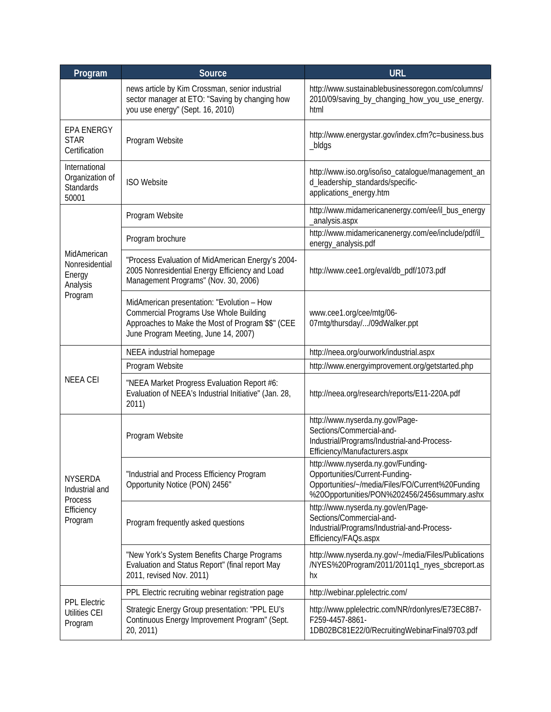| Program                                                              | Source                                                                                                                                                                                   | <b>URL</b>                                                                                                                                                               |
|----------------------------------------------------------------------|------------------------------------------------------------------------------------------------------------------------------------------------------------------------------------------|--------------------------------------------------------------------------------------------------------------------------------------------------------------------------|
|                                                                      | news article by Kim Crossman, senior industrial<br>sector manager at ETO: "Saving by changing how<br>you use energy" (Sept. 16, 2010)                                                    | http://www.sustainablebusinessoregon.com/columns/<br>2010/09/saving_by_changing_how_you_use_energy.<br>html                                                              |
| <b>EPA ENERGY</b><br><b>STAR</b><br>Certification                    | Program Website                                                                                                                                                                          | http://www.energystar.gov/index.cfm?c=business.bus<br>_bldgs                                                                                                             |
| International<br>Organization of<br><b>Standards</b><br>50001        | <b>ISO Website</b>                                                                                                                                                                       | http://www.iso.org/iso/iso_catalogue/management_an<br>d_leadership_standards/specific-<br>applications_energy.htm                                                        |
| MidAmerican<br>Nonresidential<br>Energy<br>Analysis<br>Program       | Program Website                                                                                                                                                                          | http://www.midamericanenergy.com/ee/il_bus_energy<br>_analysis.aspx                                                                                                      |
|                                                                      | Program brochure                                                                                                                                                                         | http://www.midamericanenergy.com/ee/include/pdf/il_<br>energy_analysis.pdf                                                                                               |
|                                                                      | "Process Evaluation of MidAmerican Energy's 2004-<br>2005 Nonresidential Energy Efficiency and Load<br>Management Programs" (Nov. 30, 2006)                                              | http://www.cee1.org/eval/db_pdf/1073.pdf                                                                                                                                 |
|                                                                      | MidAmerican presentation: "Evolution - How<br><b>Commercial Programs Use Whole Building</b><br>Approaches to Make the Most of Program \$\$" (CEE<br>June Program Meeting, June 14, 2007) | www.cee1.org/cee/mtg/06-<br>07mtg/thursday//09dWalker.ppt                                                                                                                |
|                                                                      | NEEA industrial homepage                                                                                                                                                                 | http://neea.org/ourwork/industrial.aspx                                                                                                                                  |
|                                                                      | Program Website                                                                                                                                                                          | http://www.energyimprovement.org/getstarted.php                                                                                                                          |
| <b>NEEA CEI</b>                                                      | "NEEA Market Progress Evaluation Report #6:<br>Evaluation of NEEA's Industrial Initiative" (Jan. 28,<br>2011)                                                                            | http://neea.org/research/reports/E11-220A.pdf                                                                                                                            |
| <b>NYSERDA</b><br>Industrial and<br>Process<br>Efficiency<br>Program | Program Website                                                                                                                                                                          | http://www.nyserda.ny.gov/Page-<br>Sections/Commercial-and-<br>Industrial/Programs/Industrial-and-Process-<br>Efficiency/Manufacturers.aspx                              |
|                                                                      | "Industrial and Process Efficiency Program<br>Opportunity Notice (PON) 2456"                                                                                                             | http://www.nyserda.ny.gov/Funding-<br>Opportunities/Current-Funding-<br>Opportunities/~/media/Files/FO/Current%20Funding<br>%20Opportunities/PON%202456/2456summary.ashx |
|                                                                      | Program frequently asked questions                                                                                                                                                       | http://www.nyserda.ny.gov/en/Page-<br>Sections/Commercial-and-<br>Industrial/Programs/Industrial-and-Process-<br>Efficiency/FAQs.aspx                                    |
|                                                                      | "New York's System Benefits Charge Programs<br>Evaluation and Status Report" (final report May<br>2011, revised Nov. 2011)                                                               | http://www.nyserda.ny.gov/~/media/Files/Publications<br>/NYES%20Program/2011/2011q1_nyes_sbcreport.as<br>hx                                                              |
| <b>PPL Electric</b><br><b>Utilities CEI</b><br>Program               | PPL Electric recruiting webinar registration page                                                                                                                                        | http://webinar.pplelectric.com/                                                                                                                                          |
|                                                                      | Strategic Energy Group presentation: "PPL EU's<br>Continuous Energy Improvement Program" (Sept.<br>20, 2011)                                                                             | http://www.pplelectric.com/NR/rdonlyres/E73EC8B7-<br>F259-4457-8861-<br>1DB02BC81E22/0/RecruitingWebinarFinal9703.pdf                                                    |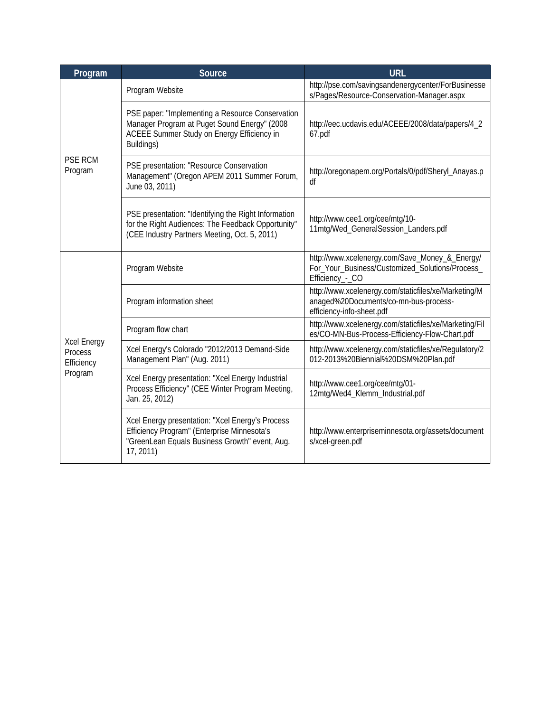| Program                                                | Source                                                                                                                                                         | <b>URL</b>                                                                                                                 |
|--------------------------------------------------------|----------------------------------------------------------------------------------------------------------------------------------------------------------------|----------------------------------------------------------------------------------------------------------------------------|
| <b>PSE RCM</b><br>Program                              | Program Website                                                                                                                                                | http://pse.com/savingsandenergycenter/ForBusinesse<br>s/Pages/Resource-Conservation-Manager.aspx                           |
|                                                        | PSE paper: "Implementing a Resource Conservation<br>Manager Program at Puget Sound Energy" (2008<br>ACEEE Summer Study on Energy Efficiency in<br>Buildings)   | http://eec.ucdavis.edu/ACEEE/2008/data/papers/4_2<br>67.pdf                                                                |
|                                                        | PSE presentation: "Resource Conservation<br>Management" (Oregon APEM 2011 Summer Forum,<br>June 03, 2011)                                                      | http://oregonapem.org/Portals/0/pdf/Sheryl_Anayas.p<br>df                                                                  |
|                                                        | PSE presentation: "Identifying the Right Information<br>for the Right Audiences: The Feedback Opportunity"<br>(CEE Industry Partners Meeting, Oct. 5, 2011)    | http://www.cee1.org/cee/mtg/10-<br>11mtg/Wed_GeneralSession_Landers.pdf                                                    |
| <b>Xcel Energy</b><br>Process<br>Efficiency<br>Program | Program Website                                                                                                                                                | http://www.xcelenergy.com/Save_Money_&_Energy/<br>For_Your_Business/Customized_Solutions/Process_<br>Efficiency_-_CO       |
|                                                        | Program information sheet                                                                                                                                      | http://www.xcelenergy.com/staticfiles/xe/Marketing/M<br>anaged%20Documents/co-mn-bus-process-<br>efficiency-info-sheet.pdf |
|                                                        | Program flow chart                                                                                                                                             | http://www.xcelenergy.com/staticfiles/xe/Marketing/Fil<br>es/CO-MN-Bus-Process-Efficiency-Flow-Chart.pdf                   |
|                                                        | Xcel Energy's Colorado "2012/2013 Demand-Side<br>Management Plan" (Aug. 2011)                                                                                  | http://www.xcelenergy.com/staticfiles/xe/Regulatory/2<br>012-2013%20Biennial%20DSM%20Plan.pdf                              |
|                                                        | Xcel Energy presentation: "Xcel Energy Industrial<br>Process Efficiency" (CEE Winter Program Meeting,<br>Jan. 25, 2012)                                        | http://www.cee1.org/cee/mtg/01-<br>12mtg/Wed4_Klemm_Industrial.pdf                                                         |
|                                                        | Xcel Energy presentation: "Xcel Energy's Process<br>Efficiency Program" (Enterprise Minnesota's<br>"GreenLean Equals Business Growth" event, Aug.<br>17, 2011) | http://www.enterpriseminnesota.org/assets/document<br>s/xcel-green.pdf                                                     |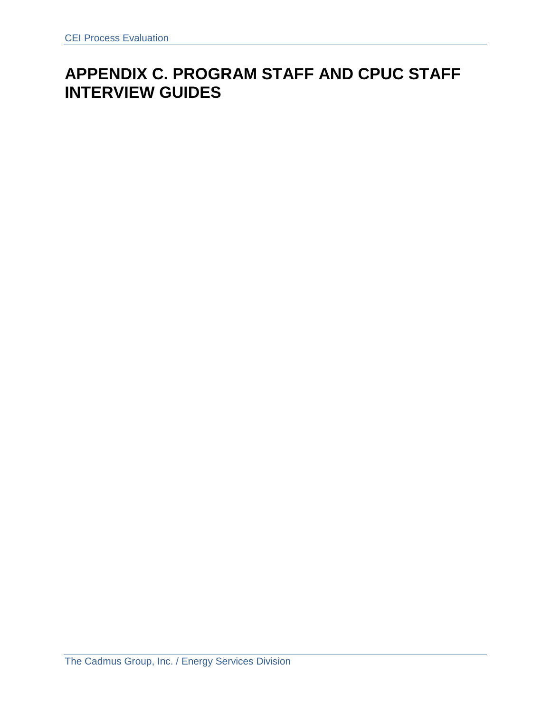# **APPENDIX C. PROGRAM STAFF AND CPUC STAFF INTERVIEW GUIDES**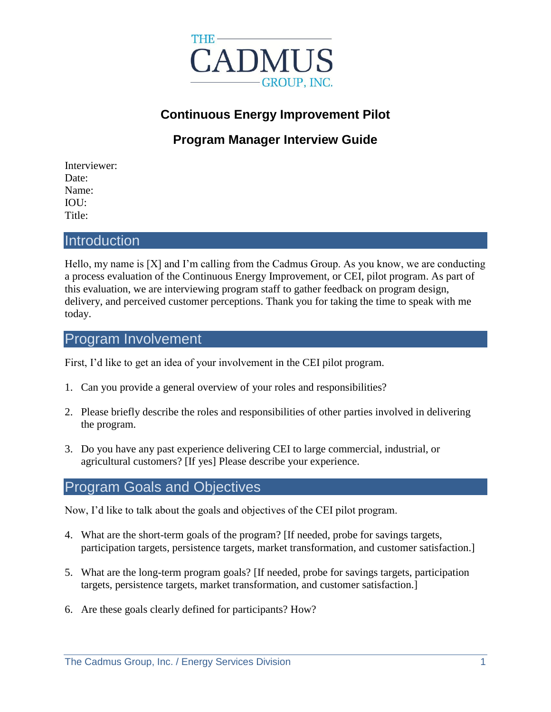

# **Continuous Energy Improvement Pilot**

# **Program Manager Interview Guide**

Interviewer: Date: Name: IOU: Title:

#### **Introduction**

Hello, my name is [X] and I'm calling from the Cadmus Group. As you know, we are conducting a process evaluation of the Continuous Energy Improvement, or CEI, pilot program. As part of this evaluation, we are interviewing program staff to gather feedback on program design, delivery, and perceived customer perceptions. Thank you for taking the time to speak with me today.

### Program Involvement

First, I'd like to get an idea of your involvement in the CEI pilot program.

- 1. Can you provide a general overview of your roles and responsibilities?
- 2. Please briefly describe the roles and responsibilities of other parties involved in delivering the program.
- 3. Do you have any past experience delivering CEI to large commercial, industrial, or agricultural customers? [If yes] Please describe your experience.

#### Program Goals and Objectives

Now, I'd like to talk about the goals and objectives of the CEI pilot program.

- 4. What are the short-term goals of the program? [If needed, probe for savings targets, participation targets, persistence targets, market transformation, and customer satisfaction.]
- 5. What are the long-term program goals? [If needed, probe for savings targets, participation targets, persistence targets, market transformation, and customer satisfaction.]
- 6. Are these goals clearly defined for participants? How?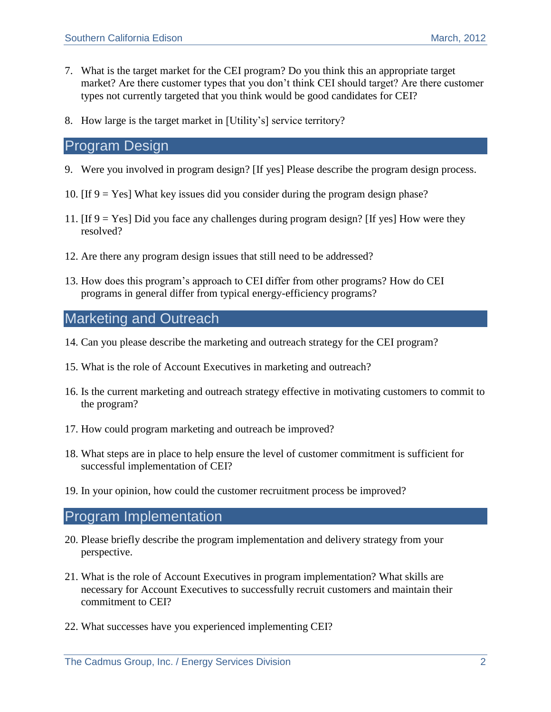- 7. What is the target market for the CEI program? Do you think this an appropriate target market? Are there customer types that you don't think CEI should target? Are there customer types not currently targeted that you think would be good candidates for CEI?
- 8. How large is the target market in [Utility's] service territory?

#### Program Design

- <span id="page-12-0"></span>9. Were you involved in program design? [If yes] Please describe the program design process.
- 10. [If [9](#page-12-0) = Yes] What key issues did you consider during the program design phase?
- 11. [If [9](#page-12-0) = Yes] Did you face any challenges during program design? [If yes] How were they resolved?
- 12. Are there any program design issues that still need to be addressed?
- 13. How does this program's approach to CEI differ from other programs? How do CEI programs in general differ from typical energy-efficiency programs?

## Marketing and Outreach

- 14. Can you please describe the marketing and outreach strategy for the CEI program?
- 15. What is the role of Account Executives in marketing and outreach?
- 16. Is the current marketing and outreach strategy effective in motivating customers to commit to the program?
- 17. How could program marketing and outreach be improved?
- 18. What steps are in place to help ensure the level of customer commitment is sufficient for successful implementation of CEI?
- 19. In your opinion, how could the customer recruitment process be improved?

### Program Implementation

- 20. Please briefly describe the program implementation and delivery strategy from your perspective.
- 21. What is the role of Account Executives in program implementation? What skills are necessary for Account Executives to successfully recruit customers and maintain their commitment to CEI?
- 22. What successes have you experienced implementing CEI?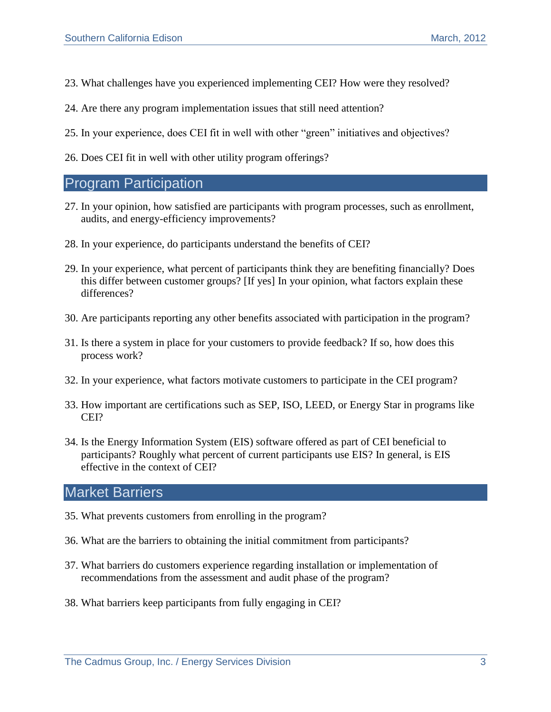- 23. What challenges have you experienced implementing CEI? How were they resolved?
- 24. Are there any program implementation issues that still need attention?
- 25. In your experience, does CEI fit in well with other "green" initiatives and objectives?
- 26. Does CEI fit in well with other utility program offerings?

#### Program Participation

- 27. In your opinion, how satisfied are participants with program processes, such as enrollment, audits, and energy-efficiency improvements?
- 28. In your experience, do participants understand the benefits of CEI?
- 29. In your experience, what percent of participants think they are benefiting financially? Does this differ between customer groups? [If yes] In your opinion, what factors explain these differences?
- 30. Are participants reporting any other benefits associated with participation in the program?
- 31. Is there a system in place for your customers to provide feedback? If so, how does this process work?
- 32. In your experience, what factors motivate customers to participate in the CEI program?
- 33. How important are certifications such as SEP, ISO, LEED, or Energy Star in programs like CEI?
- 34. Is the Energy Information System (EIS) software offered as part of CEI beneficial to participants? Roughly what percent of current participants use EIS? In general, is EIS effective in the context of CEI?

## Market Barriers

- 35. What prevents customers from enrolling in the program?
- 36. What are the barriers to obtaining the initial commitment from participants?
- 37. What barriers do customers experience regarding installation or implementation of recommendations from the assessment and audit phase of the program?
- 38. What barriers keep participants from fully engaging in CEI?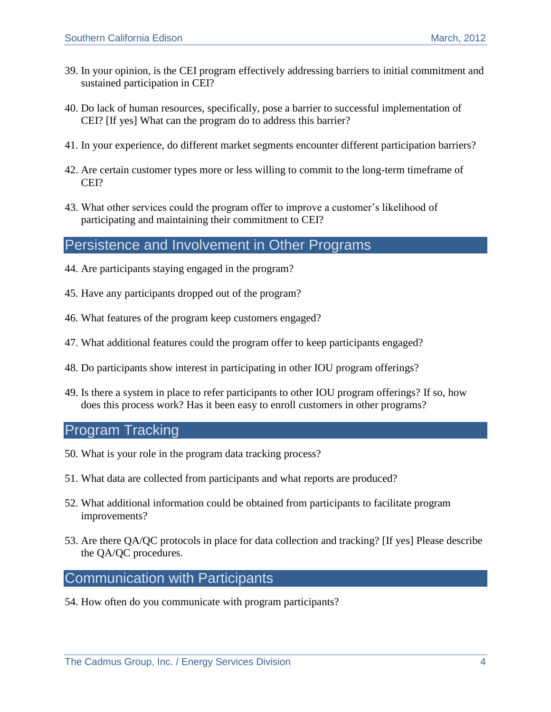- 39. In your opinion, is the CEI program effectively addressing barriers to initial commitment and sustained participation in CEI?
- 40. Do lack of human resources, specifically, pose a barrier to successful implementation of CEI? [If yes] What can the program do to address this barrier?
- 41. In your experience, do different market segments encounter different participation barriers?
- 42. Are certain customer types more or less willing to commit to the long-term timeframe of CEI?
- 43. What other services could the program offer to improve a customer's likelihood of participating and maintaining their commitment to CEI?

## Persistence and Involvement in Other Programs

- 44. Are participants staying engaged in the program?
- 45. Have any participants dropped out of the program?
- 46. What features of the program keep customers engaged?
- 47. What additional features could the program offer to keep participants engaged?
- 48. Do participants show interest in participating in other IOU program offerings?
- 49. Is there a system in place to refer participants to other IOU program offerings? If so, how does this process work? Has it been easy to enroll customers in other programs?

#### Program Tracking

- 50. What is your role in the program data tracking process?
- 51. What data are collected from participants and what reports are produced?
- 52. What additional information could be obtained from participants to facilitate program improvements?
- 53. Are there QA/QC protocols in place for data collection and tracking? [If yes] Please describe the QA/QC procedures.

### Communication with Participants

54. How often do you communicate with program participants?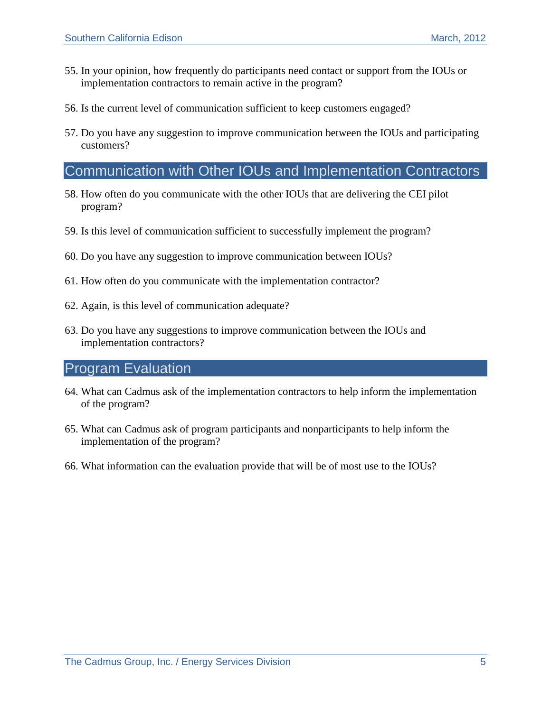- 55. In your opinion, how frequently do participants need contact or support from the IOUs or implementation contractors to remain active in the program?
- 56. Is the current level of communication sufficient to keep customers engaged?
- 57. Do you have any suggestion to improve communication between the IOUs and participating customers?

## Communication with Other IOUs and Implementation Contractors

- 58. How often do you communicate with the other IOUs that are delivering the CEI pilot program?
- 59. Is this level of communication sufficient to successfully implement the program?
- 60. Do you have any suggestion to improve communication between IOUs?
- 61. How often do you communicate with the implementation contractor?
- 62. Again, is this level of communication adequate?
- 63. Do you have any suggestions to improve communication between the IOUs and implementation contractors?

#### Program Evaluation

- 64. What can Cadmus ask of the implementation contractors to help inform the implementation of the program?
- 65. What can Cadmus ask of program participants and nonparticipants to help inform the implementation of the program?
- 66. What information can the evaluation provide that will be of most use to the IOUs?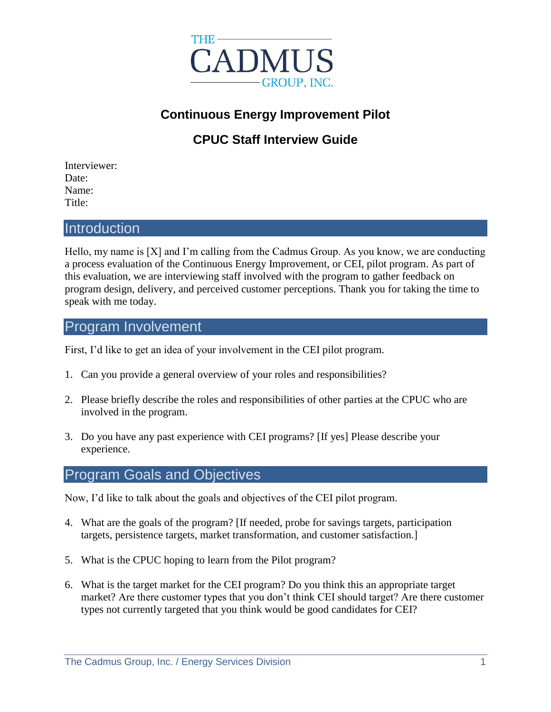

# **Continuous Energy Improvement Pilot**

# **CPUC Staff Interview Guide**

Interviewer: Date: Name: Title:

### **Introduction**

Hello, my name is [X] and I'm calling from the Cadmus Group. As you know, we are conducting a process evaluation of the Continuous Energy Improvement, or CEI, pilot program. As part of this evaluation, we are interviewing staff involved with the program to gather feedback on program design, delivery, and perceived customer perceptions. Thank you for taking the time to speak with me today.

#### Program Involvement

First, I'd like to get an idea of your involvement in the CEI pilot program.

- 1. Can you provide a general overview of your roles and responsibilities?
- 2. Please briefly describe the roles and responsibilities of other parties at the CPUC who are involved in the program.
- 3. Do you have any past experience with CEI programs? [If yes] Please describe your experience.

### Program Goals and Objectives

Now, I'd like to talk about the goals and objectives of the CEI pilot program.

- 4. What are the goals of the program? [If needed, probe for savings targets, participation targets, persistence targets, market transformation, and customer satisfaction.]
- 5. What is the CPUC hoping to learn from the Pilot program?
- 6. What is the target market for the CEI program? Do you think this an appropriate target market? Are there customer types that you don't think CEI should target? Are there customer types not currently targeted that you think would be good candidates for CEI?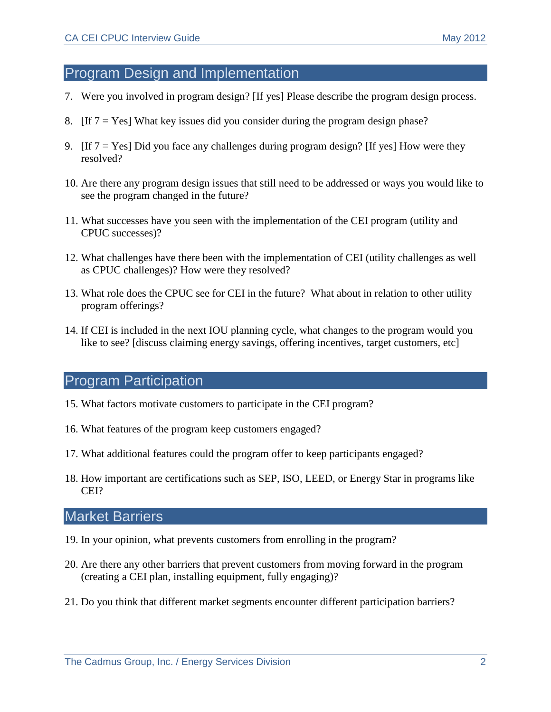## Program Design and Implementation

- <span id="page-17-0"></span>7. Were you involved in program design? [If yes] Please describe the program design process.
- 8. [If  $7 = Yes$ ] What key issues did you consider during the program design phase?
- 9. [If  $7 = Yes$ ] Did you face any challenges during program design? [If yes] How were they resolved?
- 10. Are there any program design issues that still need to be addressed or ways you would like to see the program changed in the future?
- 11. What successes have you seen with the implementation of the CEI program (utility and CPUC successes)?
- 12. What challenges have there been with the implementation of CEI (utility challenges as well as CPUC challenges)? How were they resolved?
- 13. What role does the CPUC see for CEI in the future? What about in relation to other utility program offerings?
- 14. If CEI is included in the next IOU planning cycle, what changes to the program would you like to see? [discuss claiming energy savings, offering incentives, target customers, etc]

## Program Participation

- 15. What factors motivate customers to participate in the CEI program?
- 16. What features of the program keep customers engaged?
- 17. What additional features could the program offer to keep participants engaged?
- 18. How important are certifications such as SEP, ISO, LEED, or Energy Star in programs like CEI?

# Market Barriers

- 19. In your opinion, what prevents customers from enrolling in the program?
- 20. Are there any other barriers that prevent customers from moving forward in the program (creating a CEI plan, installing equipment, fully engaging)?
- 21. Do you think that different market segments encounter different participation barriers?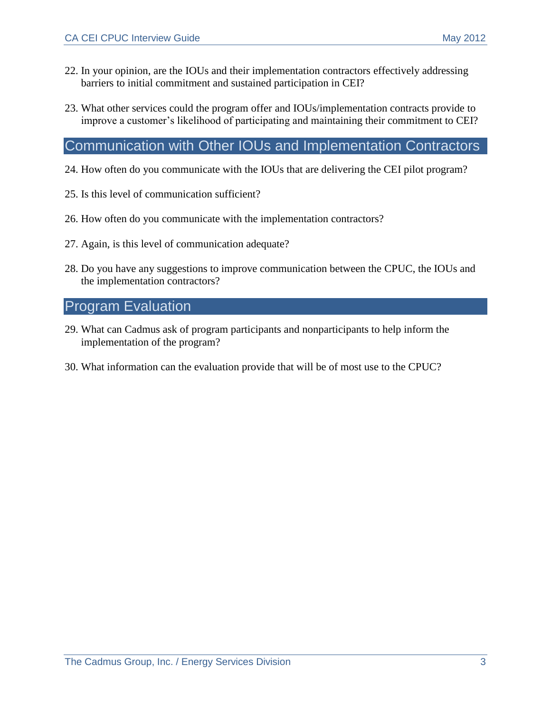- 22. In your opinion, are the IOUs and their implementation contractors effectively addressing barriers to initial commitment and sustained participation in CEI?
- 23. What other services could the program offer and IOUs/implementation contracts provide to improve a customer's likelihood of participating and maintaining their commitment to CEI?

## Communication with Other IOUs and Implementation Contractors

- 24. How often do you communicate with the IOUs that are delivering the CEI pilot program?
- 25. Is this level of communication sufficient?
- 26. How often do you communicate with the implementation contractors?
- 27. Again, is this level of communication adequate?
- 28. Do you have any suggestions to improve communication between the CPUC, the IOUs and the implementation contractors?

## Program Evaluation

- 29. What can Cadmus ask of program participants and nonparticipants to help inform the implementation of the program?
- 30. What information can the evaluation provide that will be of most use to the CPUC?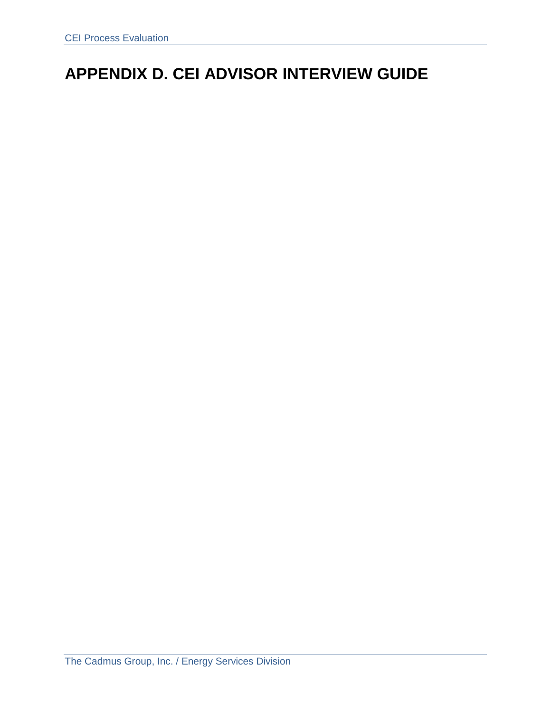# **APPENDIX D. CEI ADVISOR INTERVIEW GUIDE**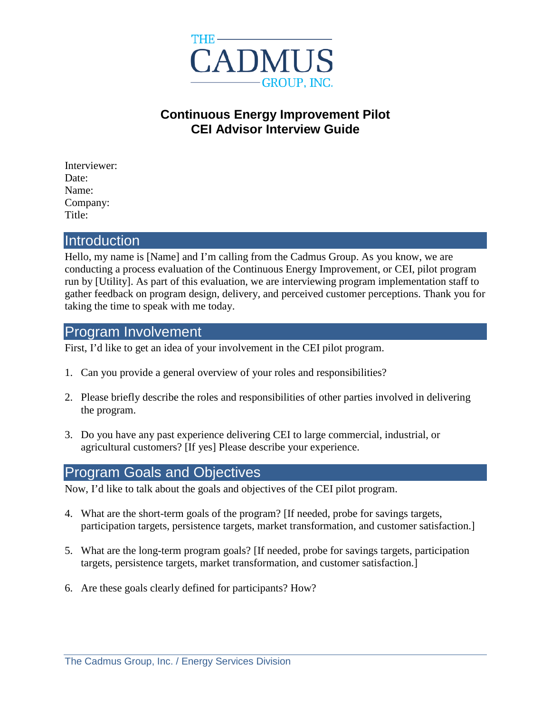

# **Continuous Energy Improvement Pilot CEI Advisor Interview Guide**

Interviewer: Date: Name: Company: Title:

#### **Introduction**

Hello, my name is [Name] and I'm calling from the Cadmus Group. As you know, we are conducting a process evaluation of the Continuous Energy Improvement, or CEI, pilot program run by [Utility]. As part of this evaluation, we are interviewing program implementation staff to gather feedback on program design, delivery, and perceived customer perceptions. Thank you for taking the time to speak with me today.

#### Program Involvement

First, I'd like to get an idea of your involvement in the CEI pilot program.

- 1. Can you provide a general overview of your roles and responsibilities?
- 2. Please briefly describe the roles and responsibilities of other parties involved in delivering the program.
- 3. Do you have any past experience delivering CEI to large commercial, industrial, or agricultural customers? [If yes] Please describe your experience.

#### Program Goals and Objectives

Now, I'd like to talk about the goals and objectives of the CEI pilot program.

- 4. What are the short-term goals of the program? [If needed, probe for savings targets, participation targets, persistence targets, market transformation, and customer satisfaction.]
- 5. What are the long-term program goals? [If needed, probe for savings targets, participation targets, persistence targets, market transformation, and customer satisfaction.]
- 6. Are these goals clearly defined for participants? How?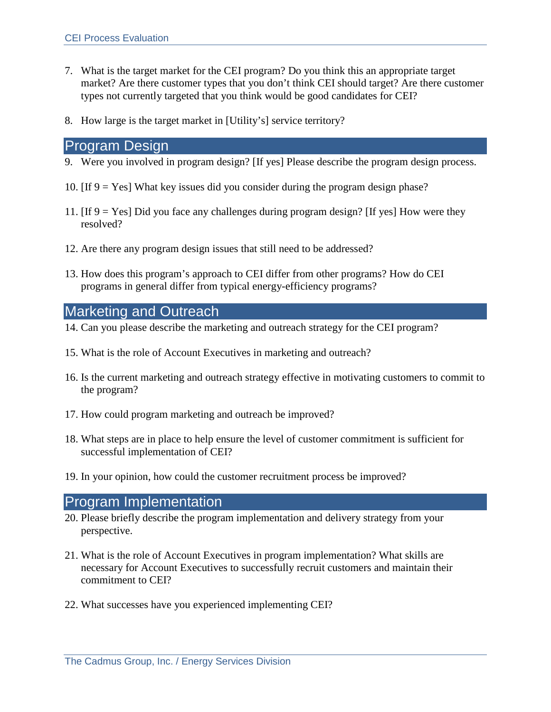- 7. What is the target market for the CEI program? Do you think this an appropriate target market? Are there customer types that you don't think CEI should target? Are there customer types not currently targeted that you think would be good candidates for CEI?
- 8. How large is the target market in [Utility's] service territory?

#### Program Design

- <span id="page-21-0"></span>9. Were you involved in program design? [If yes] Please describe the program design process.
- 10. [If  $9 = Yes$ ] What key issues did you consider during the program design phase?
- 11. [If [9](#page-21-0) = Yes] Did you face any challenges during program design? [If yes] How were they resolved?
- 12. Are there any program design issues that still need to be addressed?
- 13. How does this program's approach to CEI differ from other programs? How do CEI programs in general differ from typical energy-efficiency programs?

## Marketing and Outreach

- 14. Can you please describe the marketing and outreach strategy for the CEI program?
- 15. What is the role of Account Executives in marketing and outreach?
- 16. Is the current marketing and outreach strategy effective in motivating customers to commit to the program?
- 17. How could program marketing and outreach be improved?
- 18. What steps are in place to help ensure the level of customer commitment is sufficient for successful implementation of CEI?
- 19. In your opinion, how could the customer recruitment process be improved?

# Program Implementation

- 20. Please briefly describe the program implementation and delivery strategy from your perspective.
- 21. What is the role of Account Executives in program implementation? What skills are necessary for Account Executives to successfully recruit customers and maintain their commitment to CEI?
- 22. What successes have you experienced implementing CEI?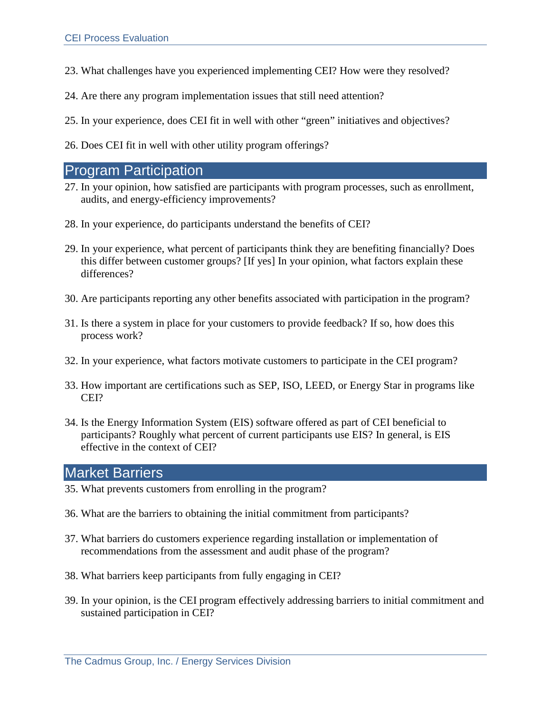- 23. What challenges have you experienced implementing CEI? How were they resolved?
- 24. Are there any program implementation issues that still need attention?
- 25. In your experience, does CEI fit in well with other "green" initiatives and objectives?
- 26. Does CEI fit in well with other utility program offerings?

## Program Participation

- 27. In your opinion, how satisfied are participants with program processes, such as enrollment, audits, and energy-efficiency improvements?
- 28. In your experience, do participants understand the benefits of CEI?
- 29. In your experience, what percent of participants think they are benefiting financially? Does this differ between customer groups? [If yes] In your opinion, what factors explain these differences?
- 30. Are participants reporting any other benefits associated with participation in the program?
- 31. Is there a system in place for your customers to provide feedback? If so, how does this process work?
- 32. In your experience, what factors motivate customers to participate in the CEI program?
- 33. How important are certifications such as SEP, ISO, LEED, or Energy Star in programs like CEI?
- 34. Is the Energy Information System (EIS) software offered as part of CEI beneficial to participants? Roughly what percent of current participants use EIS? In general, is EIS effective in the context of CEI?

## Market Barriers

- 35. What prevents customers from enrolling in the program?
- 36. What are the barriers to obtaining the initial commitment from participants?
- 37. What barriers do customers experience regarding installation or implementation of recommendations from the assessment and audit phase of the program?
- 38. What barriers keep participants from fully engaging in CEI?
- 39. In your opinion, is the CEI program effectively addressing barriers to initial commitment and sustained participation in CEI?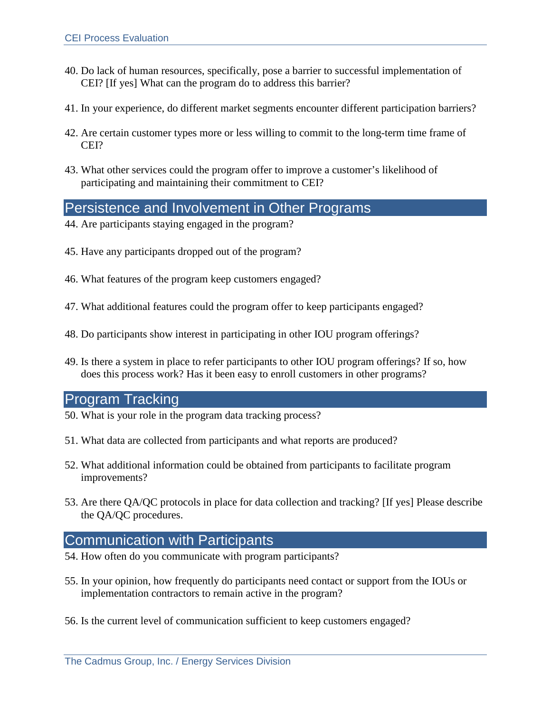- 40. Do lack of human resources, specifically, pose a barrier to successful implementation of CEI? [If yes] What can the program do to address this barrier?
- 41. In your experience, do different market segments encounter different participation barriers?
- 42. Are certain customer types more or less willing to commit to the long-term time frame of CEI?
- 43. What other services could the program offer to improve a customer's likelihood of participating and maintaining their commitment to CEI?

## Persistence and Involvement in Other Programs

- 44. Are participants staying engaged in the program?
- 45. Have any participants dropped out of the program?
- 46. What features of the program keep customers engaged?
- 47. What additional features could the program offer to keep participants engaged?
- 48. Do participants show interest in participating in other IOU program offerings?
- 49. Is there a system in place to refer participants to other IOU program offerings? If so, how does this process work? Has it been easy to enroll customers in other programs?

#### Program Tracking

- 50. What is your role in the program data tracking process?
- 51. What data are collected from participants and what reports are produced?
- 52. What additional information could be obtained from participants to facilitate program improvements?
- 53. Are there QA/QC protocols in place for data collection and tracking? [If yes] Please describe the QA/QC procedures.

#### Communication with Participants

- 54. How often do you communicate with program participants?
- 55. In your opinion, how frequently do participants need contact or support from the IOUs or implementation contractors to remain active in the program?
- 56. Is the current level of communication sufficient to keep customers engaged?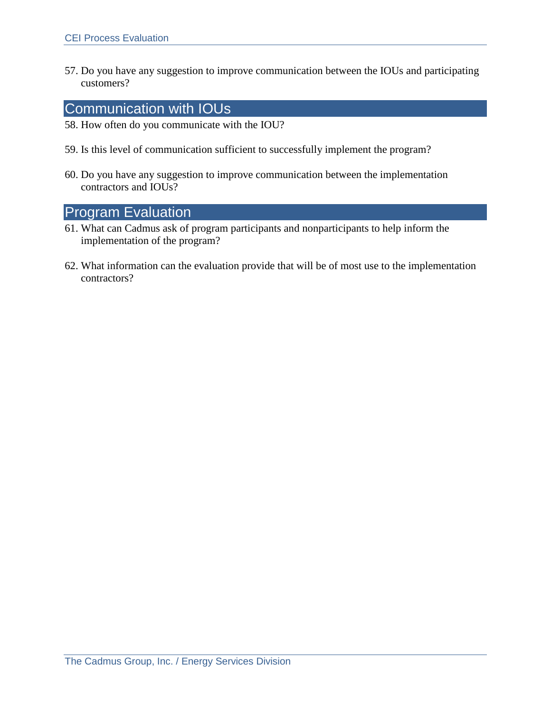57. Do you have any suggestion to improve communication between the IOUs and participating customers?

### Communication with IOUs

- 58. How often do you communicate with the IOU?
- 59. Is this level of communication sufficient to successfully implement the program?
- 60. Do you have any suggestion to improve communication between the implementation contractors and IOUs?

## Program Evaluation

- 61. What can Cadmus ask of program participants and nonparticipants to help inform the implementation of the program?
- 62. What information can the evaluation provide that will be of most use to the implementation contractors?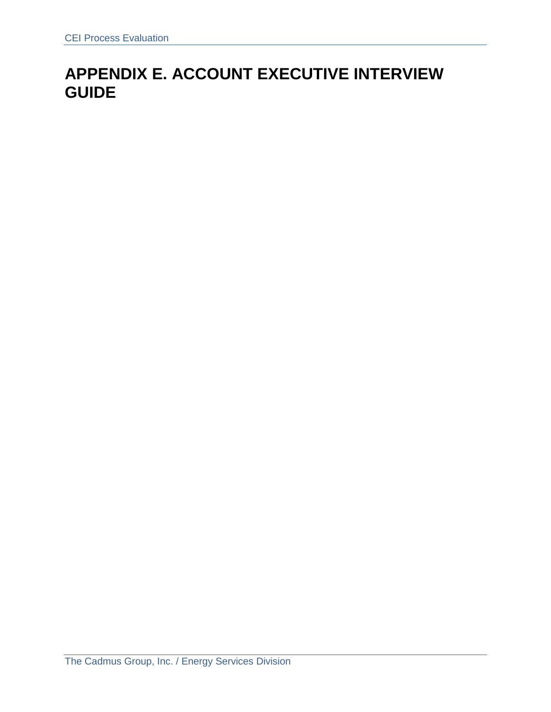# **APPENDIX E. ACCOUNT EXECUTIVE INTERVIEW GUIDE**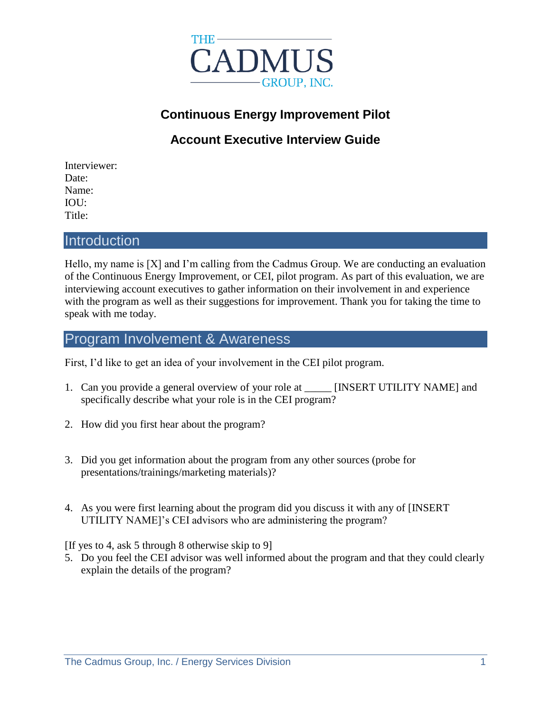

# **Continuous Energy Improvement Pilot**

# **Account Executive Interview Guide**

Interviewer: Date: Name: IOU: Title:

#### **Introduction**

Hello, my name is [X] and I'm calling from the Cadmus Group. We are conducting an evaluation of the Continuous Energy Improvement, or CEI, pilot program. As part of this evaluation, we are interviewing account executives to gather information on their involvement in and experience with the program as well as their suggestions for improvement. Thank you for taking the time to speak with me today.

### Program Involvement & Awareness

First, I'd like to get an idea of your involvement in the CEI pilot program.

- 1. Can you provide a general overview of your role at [INSERT UTILITY NAME] and specifically describe what your role is in the CEI program?
- 2. How did you first hear about the program?
- 3. Did you get information about the program from any other sources (probe for presentations/trainings/marketing materials)?
- 4. As you were first learning about the program did you discuss it with any of [INSERT UTILITY NAME]'s CEI advisors who are administering the program?

[If yes to 4, ask 5 through 8 otherwise skip to 9]

5. Do you feel the CEI advisor was well informed about the program and that they could clearly explain the details of the program?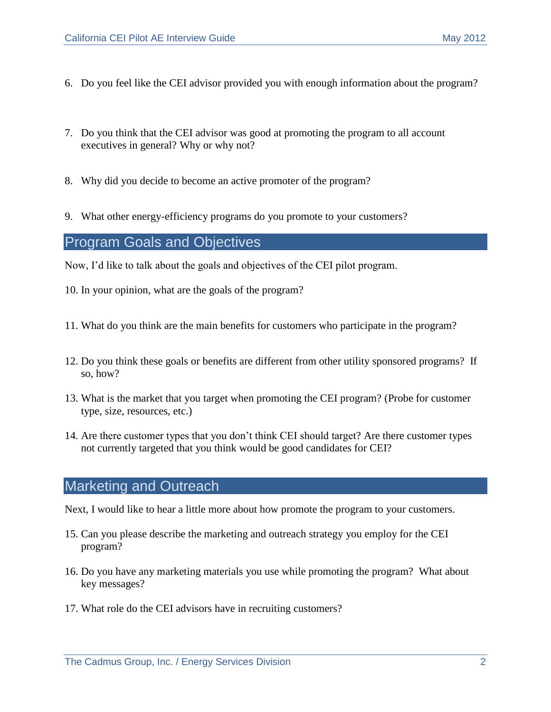- 6. Do you feel like the CEI advisor provided you with enough information about the program?
- 7. Do you think that the CEI advisor was good at promoting the program to all account executives in general? Why or why not?
- 8. Why did you decide to become an active promoter of the program?
- 9. What other energy-efficiency programs do you promote to your customers?

#### Program Goals and Objectives

Now, I'd like to talk about the goals and objectives of the CEI pilot program.

- 10. In your opinion, what are the goals of the program?
- 11. What do you think are the main benefits for customers who participate in the program?
- 12. Do you think these goals or benefits are different from other utility sponsored programs? If so, how?
- 13. What is the market that you target when promoting the CEI program? (Probe for customer type, size, resources, etc.)
- 14. Are there customer types that you don't think CEI should target? Are there customer types not currently targeted that you think would be good candidates for CEI?

#### Marketing and Outreach

Next, I would like to hear a little more about how promote the program to your customers.

- 15. Can you please describe the marketing and outreach strategy you employ for the CEI program?
- 16. Do you have any marketing materials you use while promoting the program? What about key messages?
- 17. What role do the CEI advisors have in recruiting customers?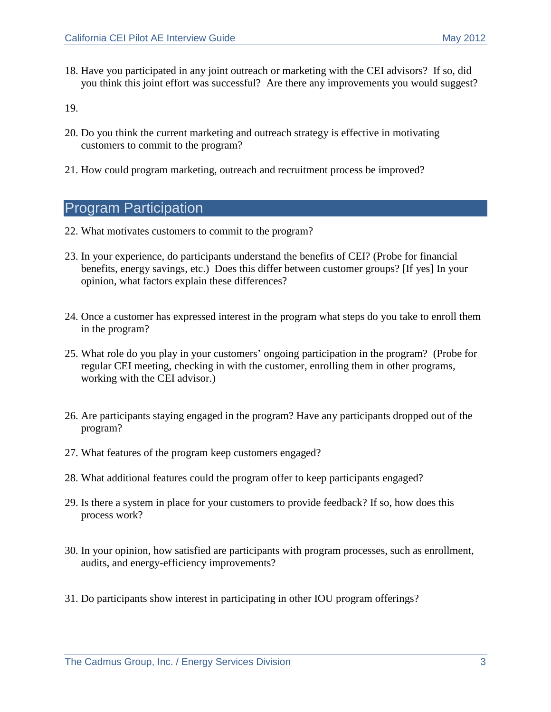18. Have you participated in any joint outreach or marketing with the CEI advisors? If so, did you think this joint effort was successful? Are there any improvements you would suggest?

19.

- 20. Do you think the current marketing and outreach strategy is effective in motivating customers to commit to the program?
- 21. How could program marketing, outreach and recruitment process be improved?

## Program Participation

- 22. What motivates customers to commit to the program?
- 23. In your experience, do participants understand the benefits of CEI? (Probe for financial benefits, energy savings, etc.) Does this differ between customer groups? [If yes] In your opinion, what factors explain these differences?
- 24. Once a customer has expressed interest in the program what steps do you take to enroll them in the program?
- 25. What role do you play in your customers' ongoing participation in the program? (Probe for regular CEI meeting, checking in with the customer, enrolling them in other programs, working with the CEI advisor.)
- 26. Are participants staying engaged in the program? Have any participants dropped out of the program?
- 27. What features of the program keep customers engaged?
- 28. What additional features could the program offer to keep participants engaged?
- 29. Is there a system in place for your customers to provide feedback? If so, how does this process work?
- 30. In your opinion, how satisfied are participants with program processes, such as enrollment, audits, and energy-efficiency improvements?
- 31. Do participants show interest in participating in other IOU program offerings?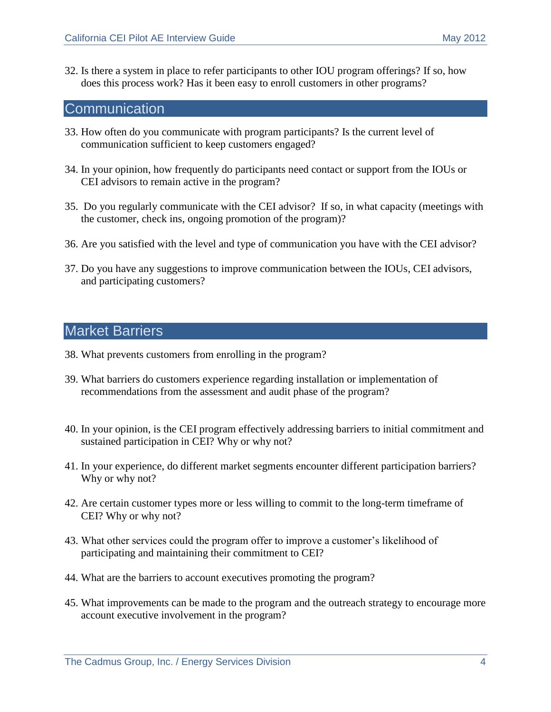32. Is there a system in place to refer participants to other IOU program offerings? If so, how does this process work? Has it been easy to enroll customers in other programs?

#### **Communication**

- 33. How often do you communicate with program participants? Is the current level of communication sufficient to keep customers engaged?
- 34. In your opinion, how frequently do participants need contact or support from the IOUs or CEI advisors to remain active in the program?
- 35. Do you regularly communicate with the CEI advisor? If so, in what capacity (meetings with the customer, check ins, ongoing promotion of the program)?
- 36. Are you satisfied with the level and type of communication you have with the CEI advisor?
- 37. Do you have any suggestions to improve communication between the IOUs, CEI advisors, and participating customers?

## Market Barriers

- 38. What prevents customers from enrolling in the program?
- 39. What barriers do customers experience regarding installation or implementation of recommendations from the assessment and audit phase of the program?
- 40. In your opinion, is the CEI program effectively addressing barriers to initial commitment and sustained participation in CEI? Why or why not?
- 41. In your experience, do different market segments encounter different participation barriers? Why or why not?
- 42. Are certain customer types more or less willing to commit to the long-term timeframe of CEI? Why or why not?
- 43. What other services could the program offer to improve a customer's likelihood of participating and maintaining their commitment to CEI?
- 44. What are the barriers to account executives promoting the program?
- 45. What improvements can be made to the program and the outreach strategy to encourage more account executive involvement in the program?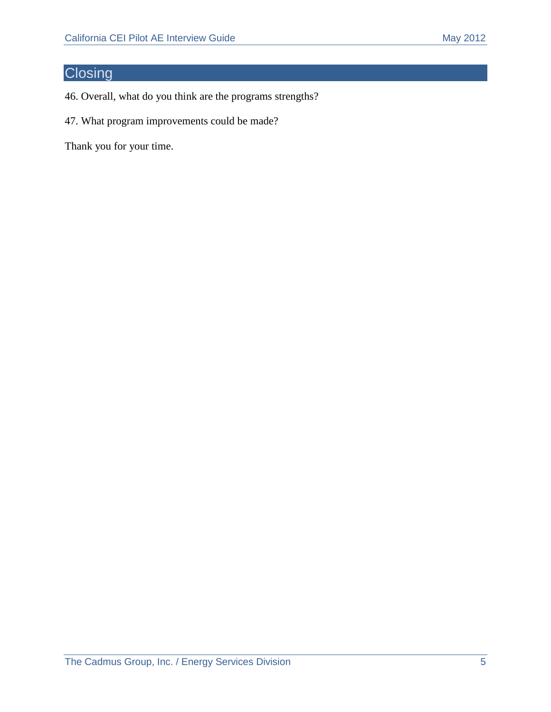# **Closing**

- 46. Overall, what do you think are the programs strengths?
- 47. What program improvements could be made?

Thank you for your time.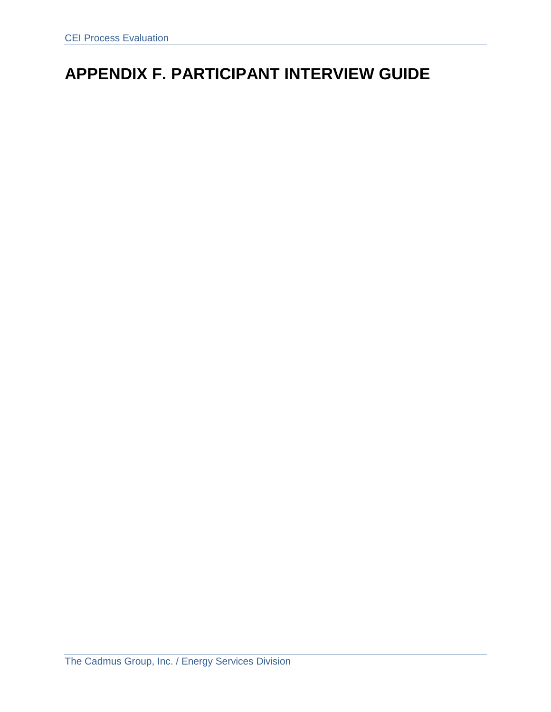# **APPENDIX F. PARTICIPANT INTERVIEW GUIDE**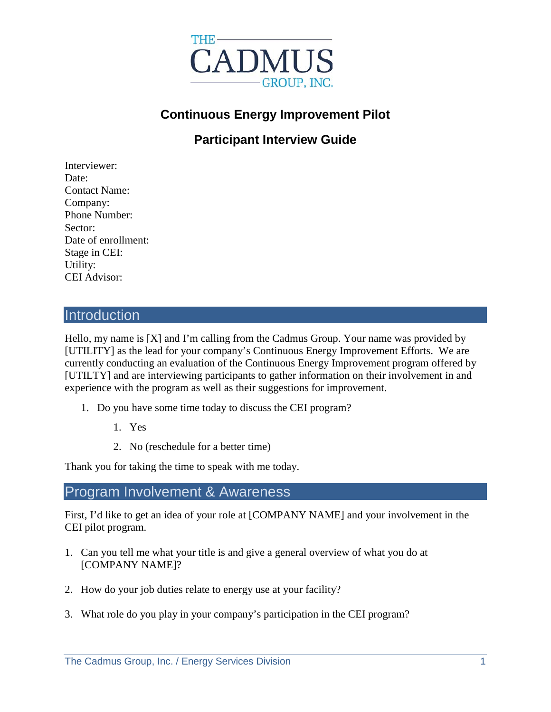

# **Continuous Energy Improvement Pilot**

**Participant Interview Guide**

Interviewer: Date: Contact Name: Company: Phone Number: Sector: Date of enrollment: Stage in CEI: Utility: CEI Advisor:

#### **Introduction**

Hello, my name is [X] and I'm calling from the Cadmus Group. Your name was provided by [UTILITY] as the lead for your company's Continuous Energy Improvement Efforts. We are currently conducting an evaluation of the Continuous Energy Improvement program offered by [UTILTY] and are interviewing participants to gather information on their involvement in and experience with the program as well as their suggestions for improvement.

- 1. Do you have some time today to discuss the CEI program?
	- 1. Yes
	- 2. No (reschedule for a better time)

Thank you for taking the time to speak with me today.

### Program Involvement & Awareness

First, I'd like to get an idea of your role at [COMPANY NAME] and your involvement in the CEI pilot program.

- 1. Can you tell me what your title is and give a general overview of what you do at [COMPANY NAME]?
- 2. How do your job duties relate to energy use at your facility?
- 3. What role do you play in your company's participation in the CEI program?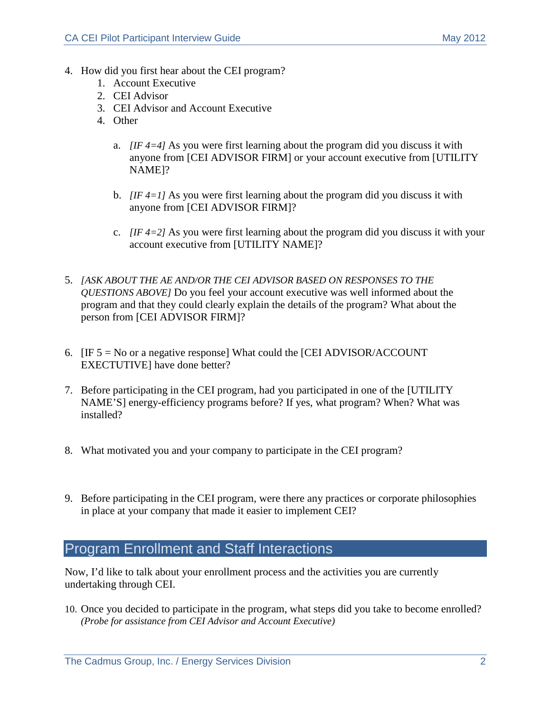- <span id="page-33-0"></span>4. How did you first hear about the CEI program?
	- 1. Account Executive
	- 2. CEI Advisor
	- 3. CEI Advisor and Account Executive
	- 4. Other
		- a. *[IF [4=](#page-33-0)4]* As you were first learning about the program did you discuss it with anyone from [CEI ADVISOR FIRM] or your account executive from [UTILITY NAME]?
		- b. *[IF [4=](#page-33-0)1]* As you were first learning about the program did you discuss it with anyone from [CEI ADVISOR FIRM]?
		- c. *[IF [4=](#page-33-0)2]* As you were first learning about the program did you discuss it with your account executive from [UTILITY NAME]?
- 5. *[ASK ABOUT THE AE AND/OR THE CEI ADVISOR BASED ON RESPONSES TO THE QUESTIONS ABOVE]* Do you feel your account executive was well informed about the program and that they could clearly explain the details of the program? What about the person from [CEI ADVISOR FIRM]?
- 6.  $[IF 5 = No or a negative response] What could the [CEI ADVISOR/ACCOUNT]$ EXECTUTIVE] have done better?
- 7. Before participating in the CEI program, had you participated in one of the [UTILITY NAME'S] energy-efficiency programs before? If yes, what program? When? What was installed?
- 8. What motivated you and your company to participate in the CEI program?
- 9. Before participating in the CEI program, were there any practices or corporate philosophies in place at your company that made it easier to implement CEI?

## Program Enrollment and Staff Interactions

Now, I'd like to talk about your enrollment process and the activities you are currently undertaking through CEI.

10. Once you decided to participate in the program, what steps did you take to become enrolled? *(Probe for assistance from CEI Advisor and Account Executive)*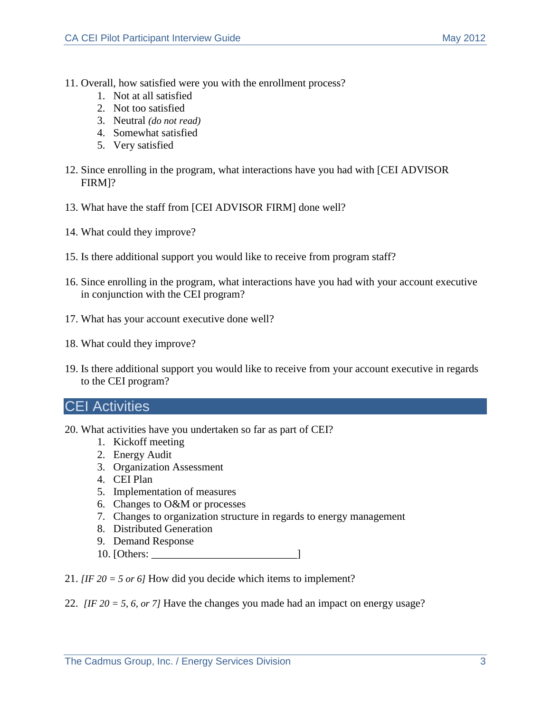- 11. Overall, how satisfied were you with the enrollment process?
	- 1. Not at all satisfied
	- 2. Not too satisfied
	- 3. Neutral *(do not read)*
	- 4. Somewhat satisfied
	- 5. Very satisfied
- 12. Since enrolling in the program, what interactions have you had with [CEI ADVISOR FIRM]?
- 13. What have the staff from [CEI ADVISOR FIRM] done well?
- 14. What could they improve?
- 15. Is there additional support you would like to receive from program staff?
- 16. Since enrolling in the program, what interactions have you had with your account executive in conjunction with the CEI program?
- 17. What has your account executive done well?
- 18. What could they improve?
- 19. Is there additional support you would like to receive from your account executive in regards to the CEI program?

#### CEI Activities

- 20. What activities have you undertaken so far as part of CEI?
	- 1. Kickoff meeting
	- 2. Energy Audit
	- 3. Organization Assessment
	- 4. CEI Plan
	- 5. Implementation of measures
	- 6. Changes to O&M or processes
	- 7. Changes to organization structure in regards to energy management
	- 8. Distributed Generation
	- 9. Demand Response
	- 10. [Others: \_\_\_\_\_\_\_\_\_\_\_\_\_\_\_\_\_\_\_\_\_\_\_\_\_\_\_]
- 21.  $[IF 20 = 5 or 6]$  How did you decide which items to implement?
- 22. *[IF 20 = 5, 6, or 7]* Have the changes you made had an impact on energy usage?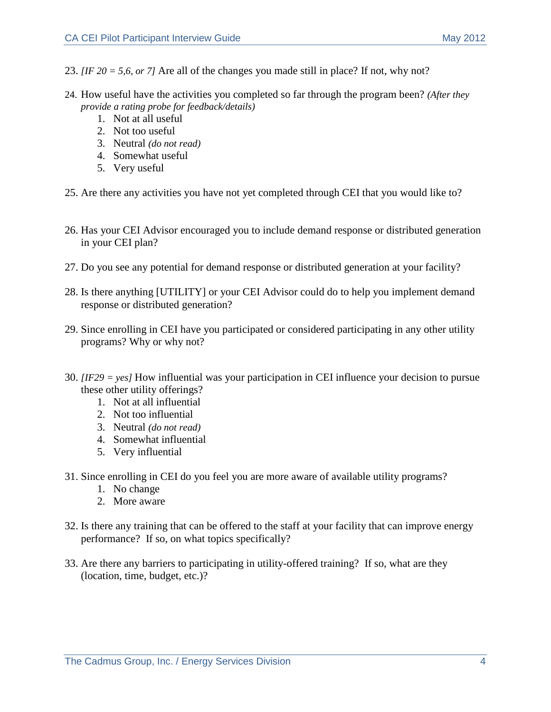- 23.  $I$  *<i>IF 20* = 5,6, or 7*l* Are all of the changes you made still in place? If not, why not?
- 24. How useful have the activities you completed so far through the program been? *(After they provide a rating probe for feedback/details)*
	- 1. Not at all useful
	- 2. Not too useful
	- 3. Neutral *(do not read)*
	- 4. Somewhat useful
	- 5. Very useful
- 25. Are there any activities you have not yet completed through CEI that you would like to?
- 26. Has your CEI Advisor encouraged you to include demand response or distributed generation in your CEI plan?
- 27. Do you see any potential for demand response or distributed generation at your facility?
- 28. Is there anything [UTILITY] or your CEI Advisor could do to help you implement demand response or distributed generation?
- 29. Since enrolling in CEI have you participated or considered participating in any other utility programs? Why or why not?
- 30. *[IF29 = yes]* How influential was your participation in CEI influence your decision to pursue these other utility offerings?
	- 1. Not at all influential
	- 2. Not too influential
	- 3. Neutral *(do not read)*
	- 4. Somewhat influential
	- 5. Very influential
- 31. Since enrolling in CEI do you feel you are more aware of available utility programs?
	- 1. No change
	- 2. More aware
- 32. Is there any training that can be offered to the staff at your facility that can improve energy performance? If so, on what topics specifically?
- 33. Are there any barriers to participating in utility-offered training? If so, what are they (location, time, budget, etc.)?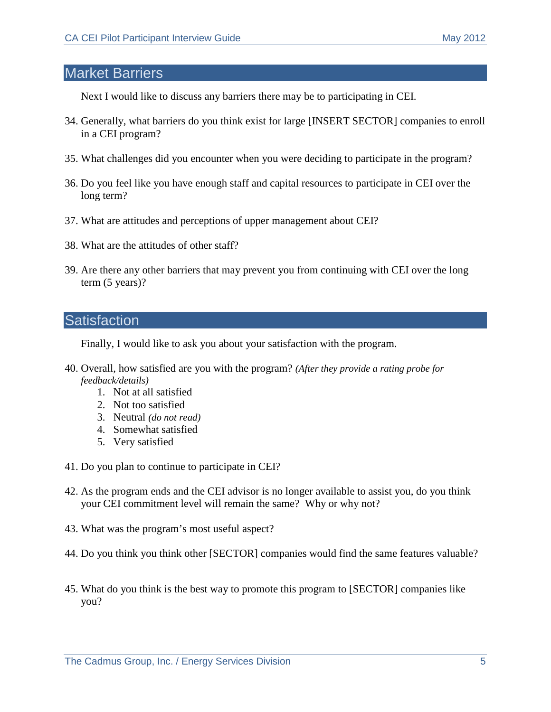### Market Barriers

Next I would like to discuss any barriers there may be to participating in CEI.

- 34. Generally, what barriers do you think exist for large [INSERT SECTOR] companies to enroll in a CEI program?
- 35. What challenges did you encounter when you were deciding to participate in the program?
- 36. Do you feel like you have enough staff and capital resources to participate in CEI over the long term?
- 37. What are attitudes and perceptions of upper management about CEI?
- 38. What are the attitudes of other staff?
- 39. Are there any other barriers that may prevent you from continuing with CEI over the long term (5 years)?

## **Satisfaction**

Finally, I would like to ask you about your satisfaction with the program.

- 40. Overall, how satisfied are you with the program? *(After they provide a rating probe for feedback/details)*
	- 1. Not at all satisfied
	- 2. Not too satisfied
	- 3. Neutral *(do not read)*
	- 4. Somewhat satisfied
	- 5. Very satisfied
- 41. Do you plan to continue to participate in CEI?
- 42. As the program ends and the CEI advisor is no longer available to assist you, do you think your CEI commitment level will remain the same? Why or why not?
- 43. What was the program's most useful aspect?
- 44. Do you think you think other [SECTOR] companies would find the same features valuable?
- 45. What do you think is the best way to promote this program to [SECTOR] companies like you?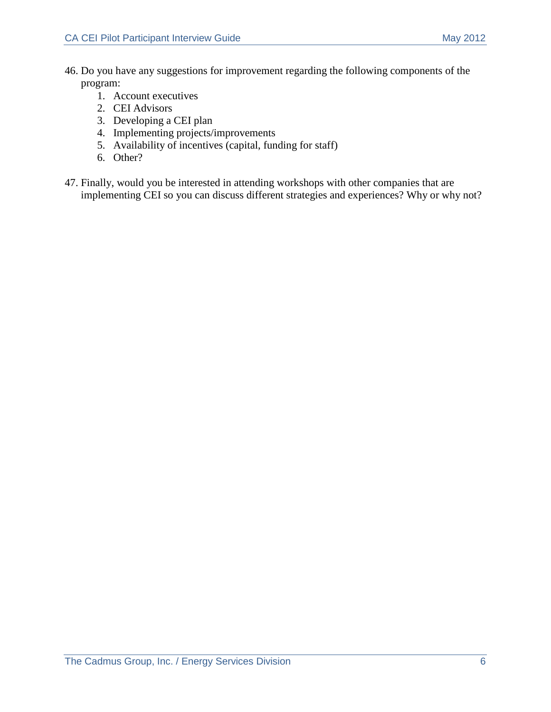- 46. Do you have any suggestions for improvement regarding the following components of the program:
	- 1. Account executives
	- 2. CEI Advisors
	- 3. Developing a CEI plan
	- 4. Implementing projects/improvements
	- 5. Availability of incentives (capital, funding for staff)
	- 6. Other?
- 47. Finally, would you be interested in attending workshops with other companies that are implementing CEI so you can discuss different strategies and experiences? Why or why not?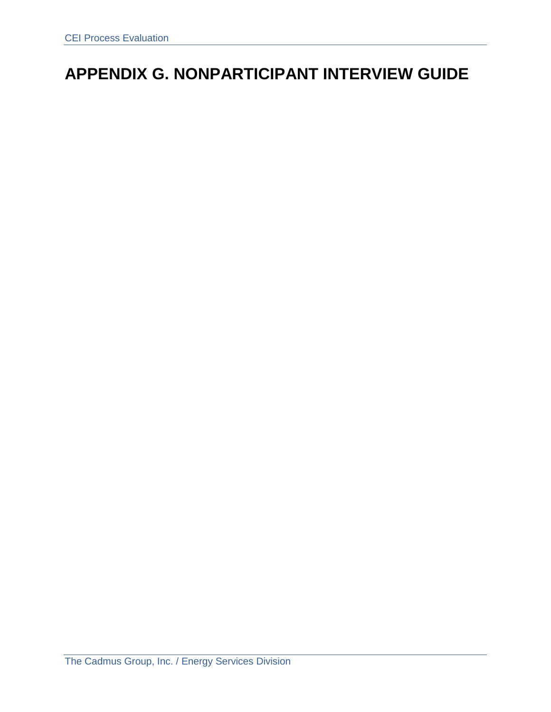# **APPENDIX G. NONPARTICIPANT INTERVIEW GUIDE**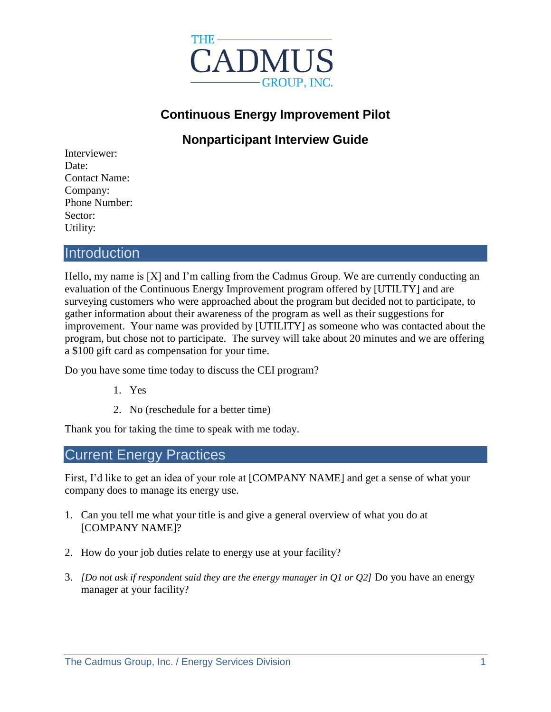

# **Continuous Energy Improvement Pilot**

# **Nonparticipant Interview Guide**

| Interviewer:         |
|----------------------|
| Date:                |
| <b>Contact Name:</b> |
| Company:             |
| Phone Number:        |
| Sector:              |
| Utility:             |

## **Introduction**

Hello, my name is [X] and I'm calling from the Cadmus Group. We are currently conducting an evaluation of the Continuous Energy Improvement program offered by [UTILTY] and are surveying customers who were approached about the program but decided not to participate, to gather information about their awareness of the program as well as their suggestions for improvement. Your name was provided by [UTILITY] as someone who was contacted about the program, but chose not to participate. The survey will take about 20 minutes and we are offering a \$100 gift card as compensation for your time.

Do you have some time today to discuss the CEI program?

- 1. Yes
- 2. No (reschedule for a better time)

Thank you for taking the time to speak with me today.

## Current Energy Practices

First, I'd like to get an idea of your role at [COMPANY NAME] and get a sense of what your company does to manage its energy use.

- 1. Can you tell me what your title is and give a general overview of what you do at [COMPANY NAME]?
- 2. How do your job duties relate to energy use at your facility?
- 3. *[Do not ask if respondent said they are the energy manager in Q1 or Q2]* Do you have an energy manager at your facility?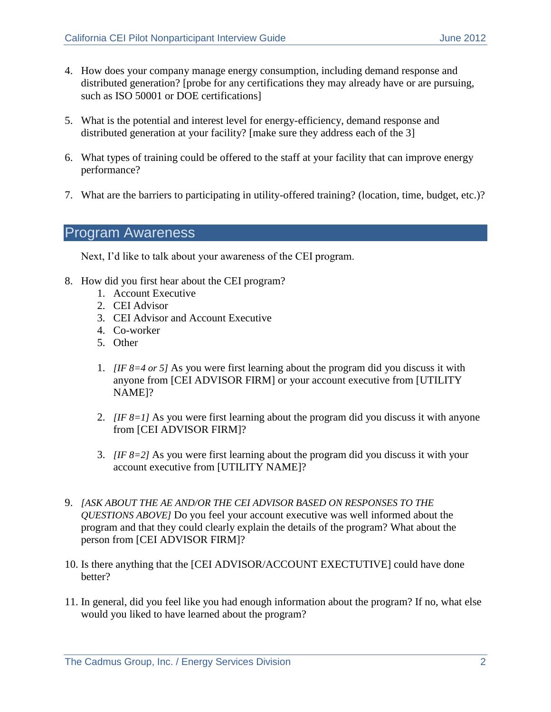- 4. How does your company manage energy consumption, including demand response and distributed generation? [probe for any certifications they may already have or are pursuing, such as ISO 50001 or DOE certifications]
- 5. What is the potential and interest level for energy-efficiency, demand response and distributed generation at your facility? [make sure they address each of the 3]
- 6. What types of training could be offered to the staff at your facility that can improve energy performance?
- 7. What are the barriers to participating in utility-offered training? (location, time, budget, etc.)?

## Program Awareness

Next, I'd like to talk about your awareness of the CEI program.

- 8. How did you first hear about the CEI program?
	- 1. Account Executive
	- 2. CEI Advisor
	- 3. CEI Advisor and Account Executive
	- 4. Co-worker
	- 5. Other
	- 1. *[IF 8=4 or 5]* As you were first learning about the program did you discuss it with anyone from [CEI ADVISOR FIRM] or your account executive from [UTILITY NAME]?
	- 2. *[IF 8=1]* As you were first learning about the program did you discuss it with anyone from [CEI ADVISOR FIRM]?
	- 3. *[IF 8=2]* As you were first learning about the program did you discuss it with your account executive from [UTILITY NAME]?
- 9. *[ASK ABOUT THE AE AND/OR THE CEI ADVISOR BASED ON RESPONSES TO THE QUESTIONS ABOVE]* Do you feel your account executive was well informed about the program and that they could clearly explain the details of the program? What about the person from [CEI ADVISOR FIRM]?
- 10. Is there anything that the [CEI ADVISOR/ACCOUNT EXECTUTIVE] could have done better?
- 11. In general, did you feel like you had enough information about the program? If no, what else would you liked to have learned about the program?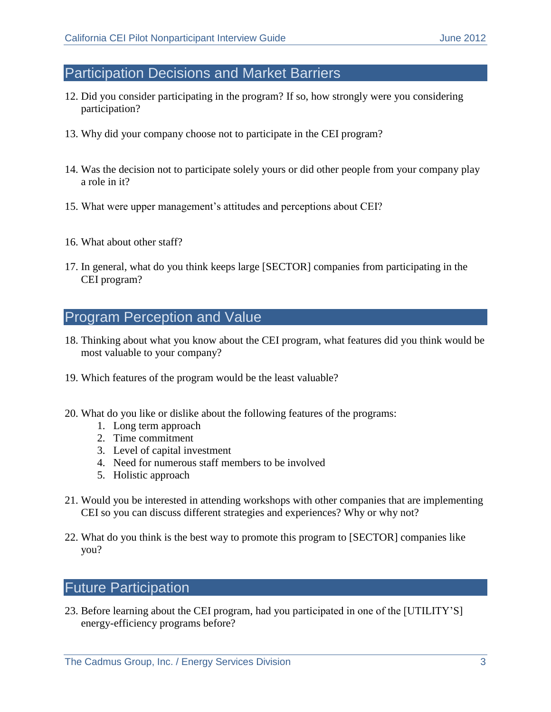## Participation Decisions and Market Barriers

- 12. Did you consider participating in the program? If so, how strongly were you considering participation?
- 13. Why did your company choose not to participate in the CEI program?
- 14. Was the decision not to participate solely yours or did other people from your company play a role in it?
- 15. What were upper management's attitudes and perceptions about CEI?
- 16. What about other staff?
- 17. In general, what do you think keeps large [SECTOR] companies from participating in the CEI program?

# Program Perception and Value

- 18. Thinking about what you know about the CEI program, what features did you think would be most valuable to your company?
- 19. Which features of the program would be the least valuable?
- 20. What do you like or dislike about the following features of the programs:
	- 1. Long term approach
	- 2. Time commitment
	- 3. Level of capital investment
	- 4. Need for numerous staff members to be involved
	- 5. Holistic approach
- 21. Would you be interested in attending workshops with other companies that are implementing CEI so you can discuss different strategies and experiences? Why or why not?
- 22. What do you think is the best way to promote this program to [SECTOR] companies like you?

# Future Participation

23. Before learning about the CEI program, had you participated in one of the [UTILITY'S] energy-efficiency programs before?